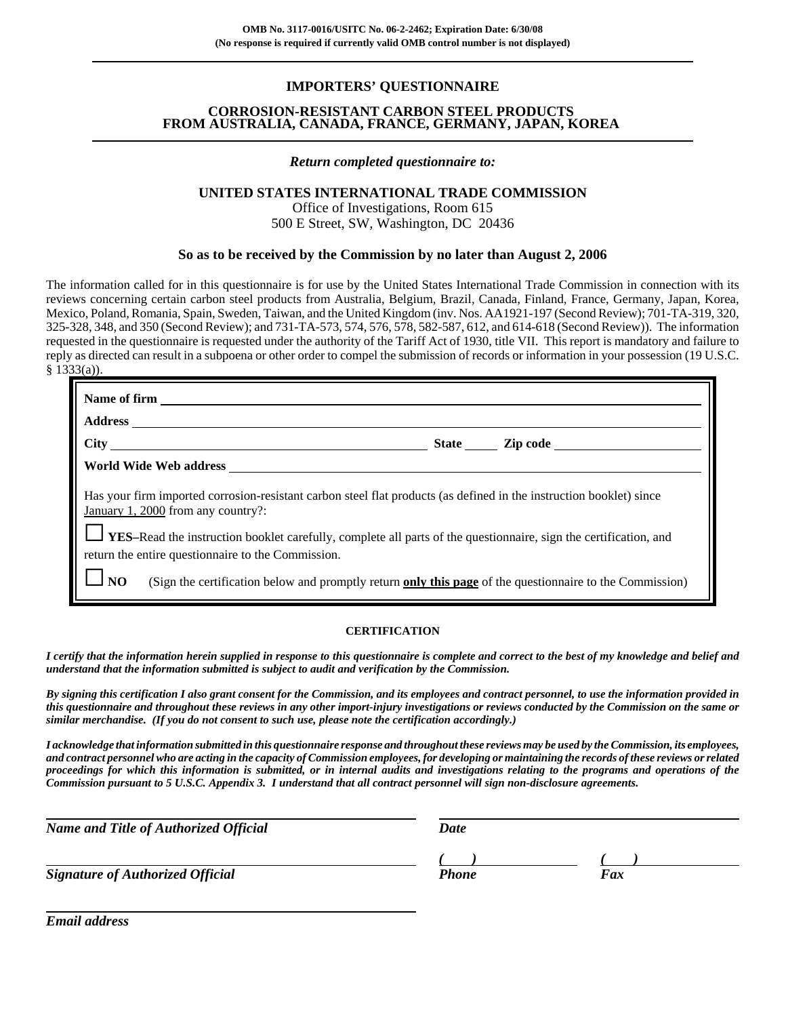#### **IMPORTERS' QUESTIONNAIRE**

#### **CORROSION-RESISTANT CARBON STEEL PRODUCTS FROM AUSTRALIA, CANADA, FRANCE, GERMANY, JAPAN, KOREA**

#### *Return completed questionnaire to:*

#### **UNITED STATES INTERNATIONAL TRADE COMMISSION**

Office of Investigations, Room 615 500 E Street, SW, Washington, DC 20436

#### **So as to be received by the Commission by no later than August 2, 2006**

The information called for in this questionnaire is for use by the United States International Trade Commission in connection with its reviews concerning certain carbon steel products from Australia, Belgium, Brazil, Canada, Finland, France, Germany, Japan, Korea, Mexico, Poland, Romania, Spain, Sweden, Taiwan, and the United Kingdom (inv. Nos. AA1921-197 (Second Review); 701-TA-319, 320, 325-328, 348, and 350 (Second Review); and 731-TA-573, 574, 576, 578, 582-587, 612, and 614-618 (Second Review)). The information requested in the questionnaire is requested under the authority of the Tariff Act of 1930, title VII. This report is mandatory and failure to reply as directed can result in a subpoena or other order to compel the submission of records or information in your possession (19 U.S.C. § 1333(a)).

| Name of firm                                                                                                                                                                   |                                                                                                                     |                |  |  |  |  |  |
|--------------------------------------------------------------------------------------------------------------------------------------------------------------------------------|---------------------------------------------------------------------------------------------------------------------|----------------|--|--|--|--|--|
| <b>Address</b>                                                                                                                                                                 |                                                                                                                     |                |  |  |  |  |  |
| <b>City</b>                                                                                                                                                                    |                                                                                                                     | State Zip code |  |  |  |  |  |
| World Wide Web address                                                                                                                                                         |                                                                                                                     |                |  |  |  |  |  |
| January 1, 2000 from any country?:                                                                                                                                             | Has your firm imported corrosion-resistant carbon steel flat products (as defined in the instruction booklet) since |                |  |  |  |  |  |
| <b>IVES-Read the instruction booklet carefully, complete all parts of the questionnaire, sign the certification, and</b><br>return the entire questionnaire to the Commission. |                                                                                                                     |                |  |  |  |  |  |
| (Sign the certification below and promptly return only this page of the questionnaire to the Commission)                                                                       |                                                                                                                     |                |  |  |  |  |  |

#### **CERTIFICATION**

*I certify that the information herein supplied in response to this questionnaire is complete and correct to the best of my knowledge and belief and understand that the information submitted is subject to audit and verification by the Commission.*

*By signing this certification I also grant consent for the Commission, and its employees and contract personnel, to use the information provided in this questionnaire and throughout these reviews in any other import-injury investigations or reviews conducted by the Commission on the same or similar merchandise. (If you do not consent to such use, please note the certification accordingly.)*

*I acknowledge that information submitted in this questionnaire response and throughout these reviews may be used by the Commission, its employees, and contract personnel who are acting in the capacity of Commission employees, for developing or maintaining the records of these reviews or related proceedings for which this information is submitted, or in internal audits and investigations relating to the programs and operations of the Commission pursuant to 5 U.S.C. Appendix 3. I understand that all contract personnel will sign non-disclosure agreements.*

*Name and Title of Authorized Official* Date Date

*Signature of Authorized Official Fax Fax Fax* 

*( ) ( )*

*Email address*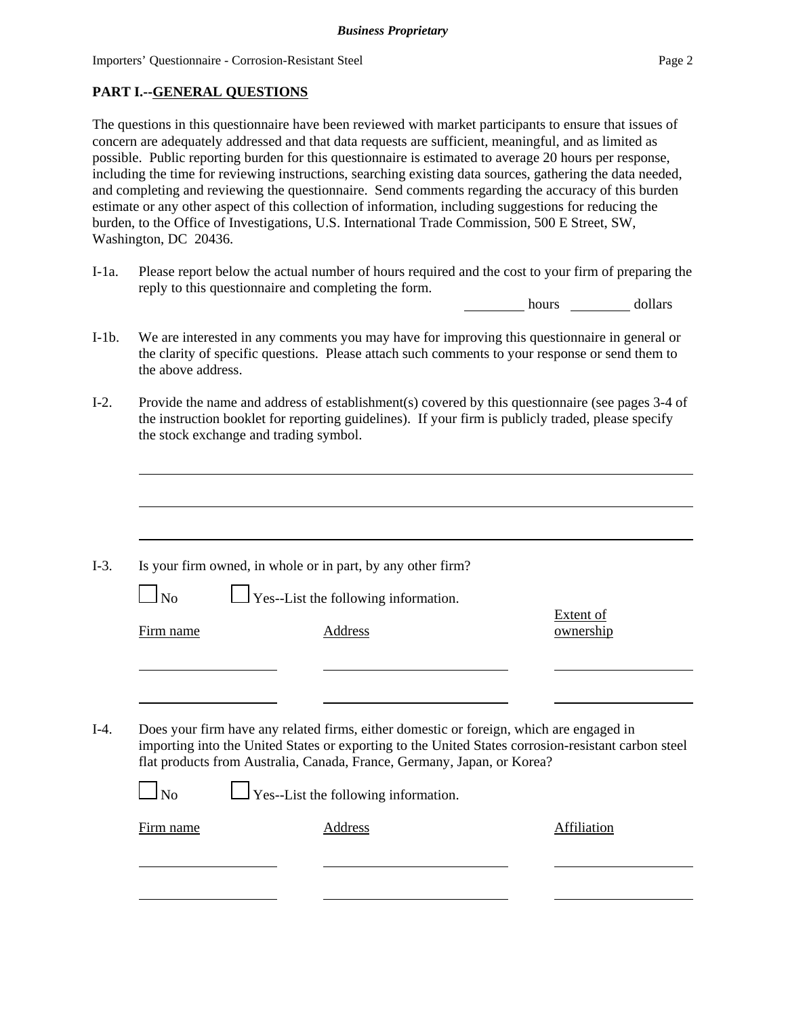## **PART I.--GENERAL QUESTIONS**

The questions in this questionnaire have been reviewed with market participants to ensure that issues of concern are adequately addressed and that data requests are sufficient, meaningful, and as limited as possible. Public reporting burden for this questionnaire is estimated to average 20 hours per response, including the time for reviewing instructions, searching existing data sources, gathering the data needed, and completing and reviewing the questionnaire. Send comments regarding the accuracy of this burden estimate or any other aspect of this collection of information, including suggestions for reducing the burden, to the Office of Investigations, U.S. International Trade Commission, 500 E Street, SW, Washington, DC 20436.

I-1a. Please report below the actual number of hours required and the cost to your firm of preparing the reply to this questionnaire and completing the form.

hours dollars

- I-1b. We are interested in any comments you may have for improving this questionnaire in general or the clarity of specific questions. Please attach such comments to your response or send them to the above address.
- I-2. Provide the name and address of establishment(s) covered by this questionnaire (see pages 3-4 of the instruction booklet for reporting guidelines). If your firm is publicly traded, please specify the stock exchange and trading symbol.

| No        | $\Box$ Yes--List the following information.                                                                                                                                                                                                                               |                               |
|-----------|---------------------------------------------------------------------------------------------------------------------------------------------------------------------------------------------------------------------------------------------------------------------------|-------------------------------|
| Firm name | Address                                                                                                                                                                                                                                                                   | <b>Extent of</b><br>ownership |
|           |                                                                                                                                                                                                                                                                           |                               |
|           |                                                                                                                                                                                                                                                                           |                               |
|           |                                                                                                                                                                                                                                                                           |                               |
|           | Does your firm have any related firms, either domestic or foreign, which are engaged in<br>importing into the United States or exporting to the United States corrosion-resistant carbon steel<br>flat products from Australia, Canada, France, Germany, Japan, or Korea? |                               |
| $\Box$ No | $\Box$ Yes--List the following information.                                                                                                                                                                                                                               |                               |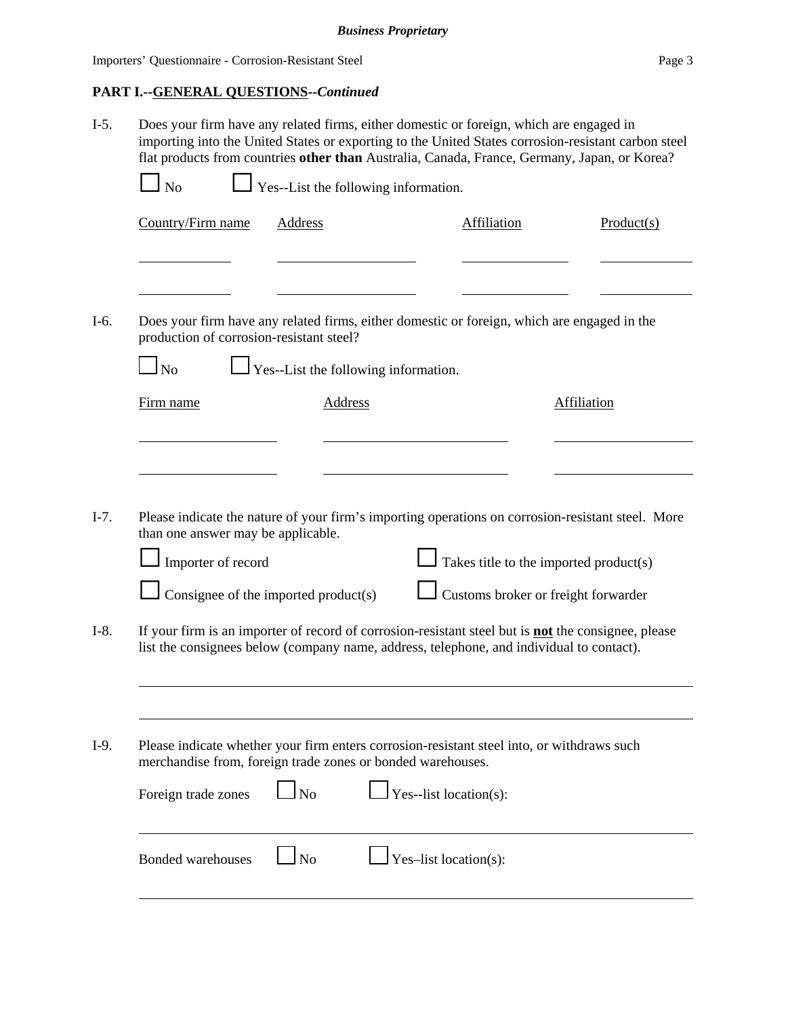# **PART I.--GENERAL QUESTIONS--***Continued*

|                     | Does your firm have any related firms, either domestic or foreign, which are engaged in<br>importing into the United States or exporting to the United States corrosion-resistant carbon steel<br>flat products from countries other than Australia, Canada, France, Germany, Japan, or Korea?<br>$\frac{1}{2}$ Yes--List the following information.<br>N <sub>o</sub> |                                      |                                                                                                                                                                                                        |                                                                               |            |  |  |
|---------------------|------------------------------------------------------------------------------------------------------------------------------------------------------------------------------------------------------------------------------------------------------------------------------------------------------------------------------------------------------------------------|--------------------------------------|--------------------------------------------------------------------------------------------------------------------------------------------------------------------------------------------------------|-------------------------------------------------------------------------------|------------|--|--|
|                     |                                                                                                                                                                                                                                                                                                                                                                        |                                      |                                                                                                                                                                                                        |                                                                               |            |  |  |
| Country/Firm name   |                                                                                                                                                                                                                                                                                                                                                                        | Address                              | Affiliation                                                                                                                                                                                            |                                                                               | Product(s) |  |  |
|                     | production of corrosion-resistant steel?                                                                                                                                                                                                                                                                                                                               |                                      | Does your firm have any related firms, either domestic or foreign, which are engaged in the                                                                                                            |                                                                               |            |  |  |
| N <sub>o</sub>      |                                                                                                                                                                                                                                                                                                                                                                        | Yes--List the following information. |                                                                                                                                                                                                        |                                                                               |            |  |  |
| Firm name           |                                                                                                                                                                                                                                                                                                                                                                        | <b>Address</b>                       |                                                                                                                                                                                                        | <b>Affiliation</b>                                                            |            |  |  |
|                     | than one answer may be applicable.<br>Importer of record                                                                                                                                                                                                                                                                                                               | Consignee of the imported product(s) | Please indicate the nature of your firm's importing operations on corrosion-resistant steel. More                                                                                                      | Takes title to the imported product(s)<br>Customs broker or freight forwarder |            |  |  |
|                     |                                                                                                                                                                                                                                                                                                                                                                        |                                      | If your firm is an importer of record of corrosion-resistant steel but is <b>not</b> the consignee, please<br>list the consignees below (company name, address, telephone, and individual to contact). |                                                                               |            |  |  |
|                     |                                                                                                                                                                                                                                                                                                                                                                        |                                      | Please indicate whether your firm enters corrosion-resistant steel into, or withdraws such<br>merchandise from, foreign trade zones or bonded warehouses.                                              |                                                                               |            |  |  |
| Foreign trade zones |                                                                                                                                                                                                                                                                                                                                                                        | No                                   | Yes--list location(s):                                                                                                                                                                                 |                                                                               |            |  |  |
|                     |                                                                                                                                                                                                                                                                                                                                                                        |                                      |                                                                                                                                                                                                        |                                                                               |            |  |  |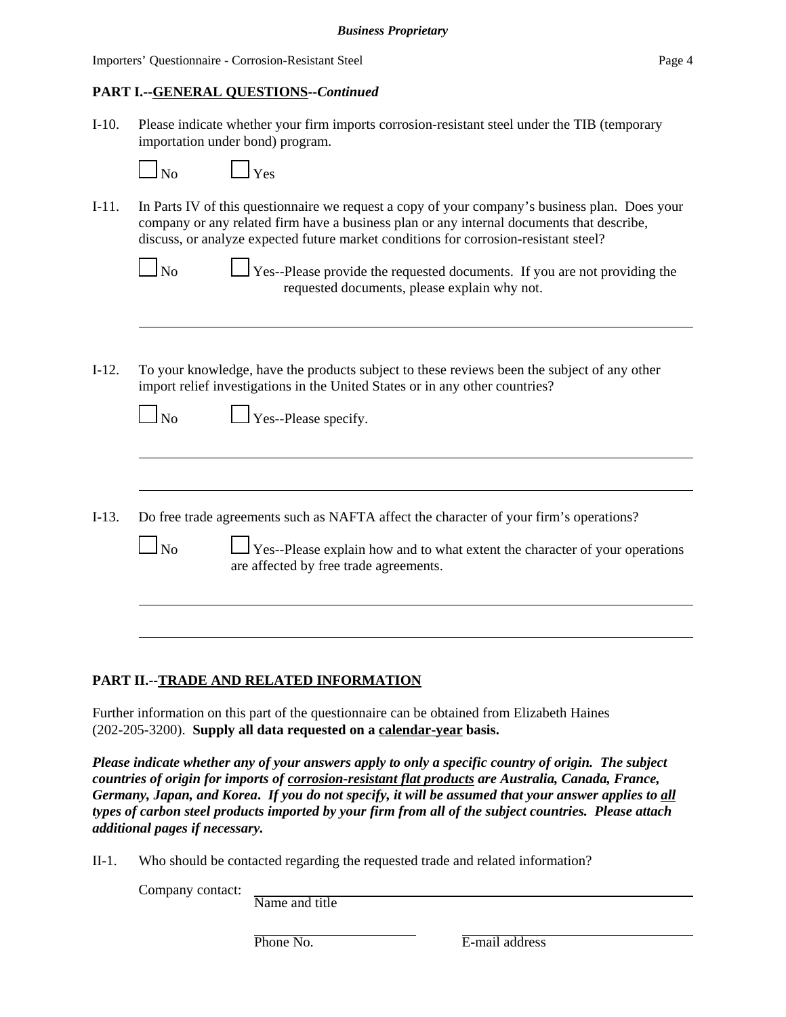#### **PART I.--GENERAL QUESTIONS--***Continued*

I-10. Please indicate whether your firm imports corrosion-resistant steel under the TIB (temporary importation under bond) program.

 $N_0$   $V_{\text{ex}}$ 

I-11. In Parts IV of this questionnaire we request a copy of your company's business plan. Does your company or any related firm have a business plan or any internal documents that describe, discuss, or analyze expected future market conditions for corrosion-resistant steel?

| $\Box$ No |  | $\Box$ Yes--Please provide the requested documents. If you are not providing the |  |
|-----------|--|----------------------------------------------------------------------------------|--|
|           |  | requested documents, please explain why not.                                     |  |

I-12. To your knowledge, have the products subject to these reviews been the subject of any other import relief investigations in the United States or in any other countries?

| $\Box$ No | Yes- |
|-----------|------|
|-----------|------|

--Please specify.

- I-13. Do free trade agreements such as NAFTA affect the character of your firm's operations?
	- $\Box$  Yes--Please explain how and to what extent the character of your operations are affected by free trade agreements.

#### **PART II.--TRADE AND RELATED INFORMATION**

Further information on this part of the questionnaire can be obtained from Elizabeth Haines (202-205-3200). **Supply all data requested on a calendar-year basis.**

*Please indicate whether any of your answers apply to only a specific country of origin. The subject countries of origin for imports of corrosion-resistant flat products are Australia, Canada, France, Germany, Japan, and Korea***.** *If you do not specify, it will be assumed that your answer applies to all types of carbon steel products imported by your firm from all of the subject countries. Please attach additional pages if necessary.* 

II-1. Who should be contacted regarding the requested trade and related information?

Company contact:

Name and title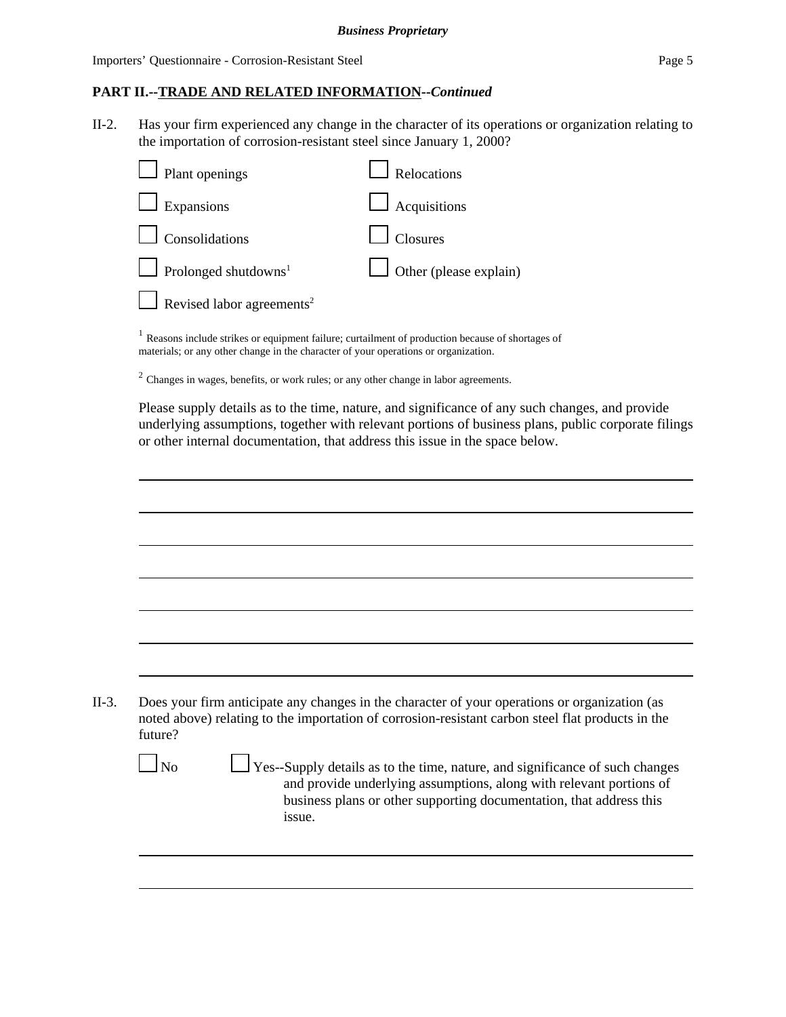#### **PART II.--TRADE AND RELATED INFORMATION--***Continued*

II-2. Has your firm experienced any change in the character of its operations or organization relating to the importation of corrosion-resistant steel since January 1, 2000?

| $\Box$ Plant openings                   | Relocations                   |
|-----------------------------------------|-------------------------------|
| $\Box$ Expansions                       | $\Box$ Acquisitions           |
| $\Box$ Consolidations                   | $\Box$ Closures               |
| $\Box$ Prolonged shutdowns <sup>1</sup> | $\Box$ Other (please explain) |
| Revised labor agreements <sup>2</sup>   |                               |
|                                         |                               |

<sup>1</sup> Reasons include strikes or equipment failure; curtailment of production because of shortages of materials; or any other change in the character of your operations or organization.

 $<sup>2</sup>$  Changes in wages, benefits, or work rules; or any other change in labor agreements.</sup>

Please supply details as to the time, nature, and significance of any such changes, and provide underlying assumptions, together with relevant portions of business plans, public corporate filings or other internal documentation, that address this issue in the space below.

| II-3. | Does your firm anticipate any changes in the character of your operations or organization (as     |
|-------|---------------------------------------------------------------------------------------------------|
|       | noted above) relating to the importation of corrosion-resistant carbon steel flat products in the |
|       | future?                                                                                           |

| ۰, |
|----|
|----|

 No Yes--Supply details as to the time, nature, and significance of such changes and provide underlying assumptions, along with relevant portions of business plans or other supporting documentation, that address this issue.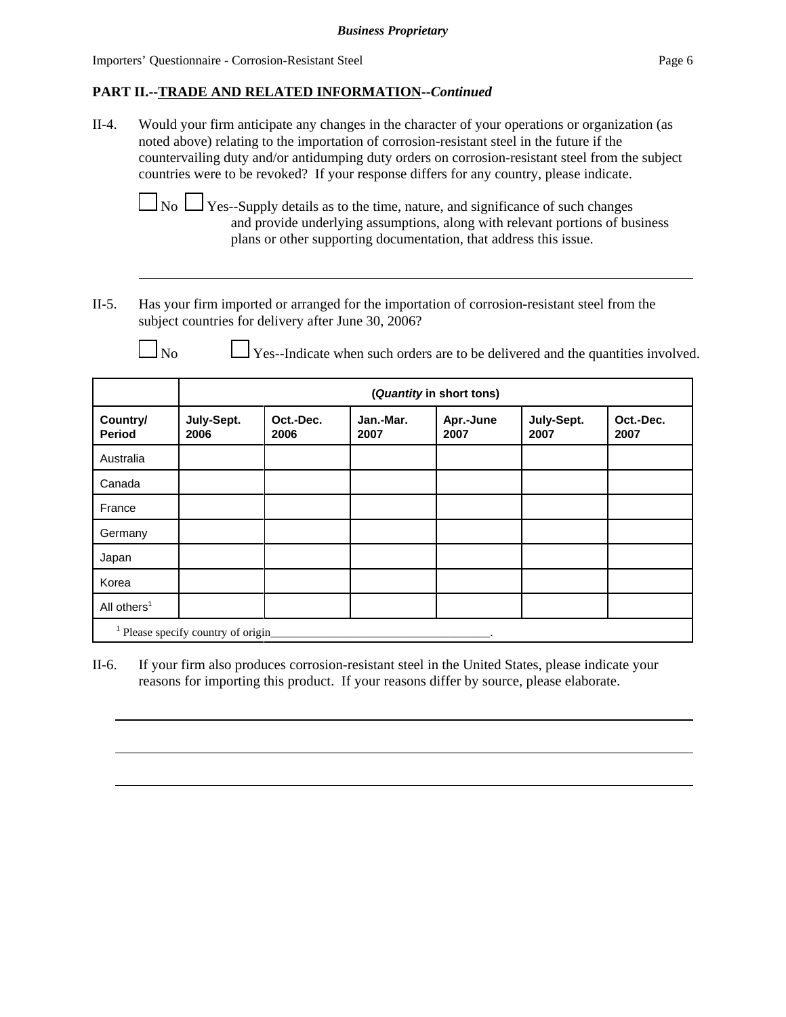## **PART II.--TRADE AND RELATED INFORMATION--***Continued*

II-4. Would your firm anticipate any changes in the character of your operations or organization (as noted above) relating to the importation of corrosion-resistant steel in the future if the countervailing duty and/or antidumping duty orders on corrosion-resistant steel from the subject countries were to be revoked? If your response differs for any country, please indicate.

 $\Box$  No  $\Box$  Yes--Supply details as to the time, nature, and significance of such changes and provide underlying assumptions, along with relevant portions of business plans or other supporting documentation, that address this issue.

II-5. Has your firm imported or arranged for the importation of corrosion-resistant steel from the subject countries for delivery after June 30, 2006?

 $\Box$  No  $\Box$  Yes--Indicate when such orders are to be delivered and the quantities involved.

|                           |                                   | (Quantity in short tons) |                   |                   |                    |                   |  |  |
|---------------------------|-----------------------------------|--------------------------|-------------------|-------------------|--------------------|-------------------|--|--|
| Country/<br><b>Period</b> | July-Sept.<br>2006                | Oct.-Dec.<br>2006        | Jan.-Mar.<br>2007 | Apr.-June<br>2007 | July-Sept.<br>2007 | Oct.-Dec.<br>2007 |  |  |
| Australia                 |                                   |                          |                   |                   |                    |                   |  |  |
| Canada                    |                                   |                          |                   |                   |                    |                   |  |  |
| France                    |                                   |                          |                   |                   |                    |                   |  |  |
| Germany                   |                                   |                          |                   |                   |                    |                   |  |  |
| Japan                     |                                   |                          |                   |                   |                    |                   |  |  |
| Korea                     |                                   |                          |                   |                   |                    |                   |  |  |
| All others <sup>1</sup>   |                                   |                          |                   |                   |                    |                   |  |  |
|                           | Please specify country of origin_ |                          |                   |                   |                    |                   |  |  |

II-6. If your firm also produces corrosion-resistant steel in the United States, please indicate your reasons for importing this product. If your reasons differ by source, please elaborate.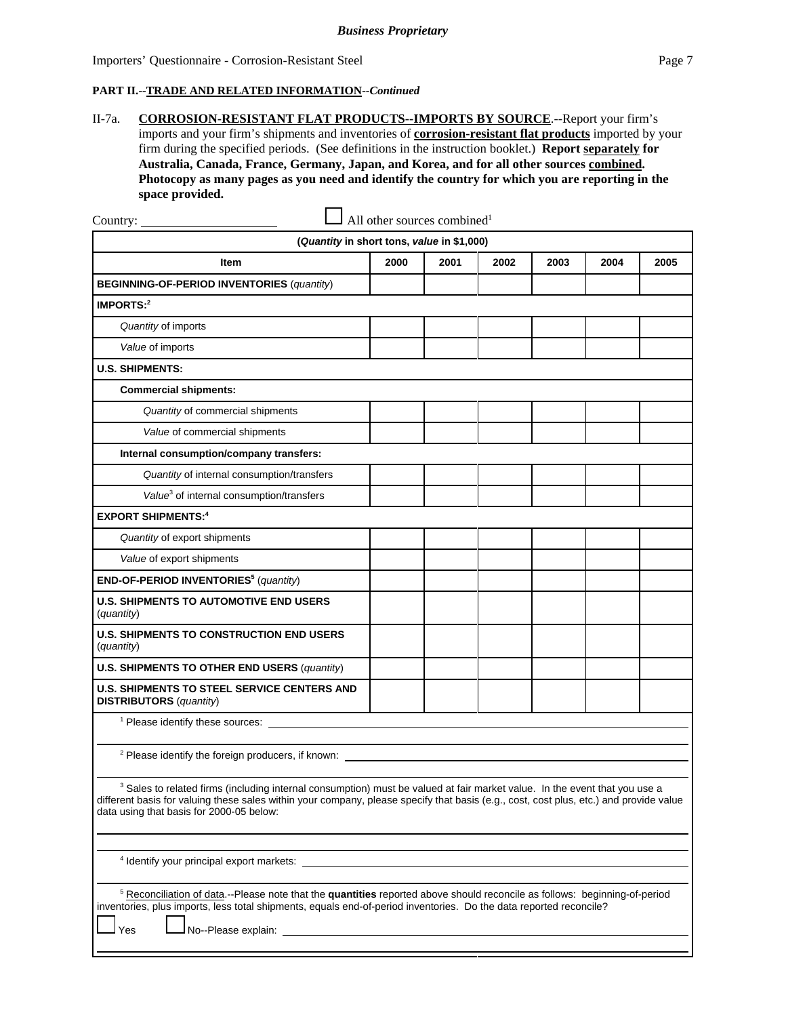#### **PART II.--TRADE AND RELATED INFORMATION--***Continued*

II-7a. **CORROSION-RESISTANT FLAT PRODUCTS--IMPORTS BY SOURCE**.--Report your firm's imports and your firm's shipments and inventories of **corrosion-resistant flat products** imported by your firm during the specified periods. (See definitions in the instruction booklet.) **Report separately for Australia, Canada, France, Germany, Japan, and Korea, and for all other sources combined. Photocopy as many pages as you need and identify the country for which you are reporting in the space provided.**

| Country: $\overline{\phantom{a}}$                                                                                                                                                                                                                                                                                           | All other sources combined <sup>1</sup> |      |      |      |      |      |
|-----------------------------------------------------------------------------------------------------------------------------------------------------------------------------------------------------------------------------------------------------------------------------------------------------------------------------|-----------------------------------------|------|------|------|------|------|
| (Quantity in short tons, value in \$1,000)                                                                                                                                                                                                                                                                                  |                                         |      |      |      |      |      |
| Item                                                                                                                                                                                                                                                                                                                        | 2000                                    | 2001 | 2002 | 2003 | 2004 | 2005 |
| <b>BEGINNING-OF-PERIOD INVENTORIES (quantity)</b>                                                                                                                                                                                                                                                                           |                                         |      |      |      |      |      |
| IMPORTS:2                                                                                                                                                                                                                                                                                                                   |                                         |      |      |      |      |      |
| Quantity of imports                                                                                                                                                                                                                                                                                                         |                                         |      |      |      |      |      |
| Value of imports                                                                                                                                                                                                                                                                                                            |                                         |      |      |      |      |      |
| <b>U.S. SHIPMENTS:</b>                                                                                                                                                                                                                                                                                                      |                                         |      |      |      |      |      |
| <b>Commercial shipments:</b>                                                                                                                                                                                                                                                                                                |                                         |      |      |      |      |      |
| Quantity of commercial shipments                                                                                                                                                                                                                                                                                            |                                         |      |      |      |      |      |
| Value of commercial shipments                                                                                                                                                                                                                                                                                               |                                         |      |      |      |      |      |
| Internal consumption/company transfers:                                                                                                                                                                                                                                                                                     |                                         |      |      |      |      |      |
| Quantity of internal consumption/transfers                                                                                                                                                                                                                                                                                  |                                         |      |      |      |      |      |
| Value <sup>3</sup> of internal consumption/transfers                                                                                                                                                                                                                                                                        |                                         |      |      |      |      |      |
| <b>EXPORT SHIPMENTS:4</b>                                                                                                                                                                                                                                                                                                   |                                         |      |      |      |      |      |
| Quantity of export shipments                                                                                                                                                                                                                                                                                                |                                         |      |      |      |      |      |
| Value of export shipments                                                                                                                                                                                                                                                                                                   |                                         |      |      |      |      |      |
| END-OF-PERIOD INVENTORIES <sup>5</sup> (quantity)                                                                                                                                                                                                                                                                           |                                         |      |      |      |      |      |
| <b>U.S. SHIPMENTS TO AUTOMOTIVE END USERS</b><br>(quantity)                                                                                                                                                                                                                                                                 |                                         |      |      |      |      |      |
| <b>U.S. SHIPMENTS TO CONSTRUCTION END USERS</b><br>(quantity)                                                                                                                                                                                                                                                               |                                         |      |      |      |      |      |
| U.S. SHIPMENTS TO OTHER END USERS (quantity)                                                                                                                                                                                                                                                                                |                                         |      |      |      |      |      |
| <b>U.S. SHIPMENTS TO STEEL SERVICE CENTERS AND</b><br><b>DISTRIBUTORS</b> (quantity)                                                                                                                                                                                                                                        |                                         |      |      |      |      |      |
| <sup>1</sup> Please identify these sources:                                                                                                                                                                                                                                                                                 |                                         |      |      |      |      |      |
| <sup>2</sup> Please identify the foreign producers, if known:                                                                                                                                                                                                                                                               |                                         |      |      |      |      |      |
| <sup>3</sup> Sales to related firms (including internal consumption) must be valued at fair market value. In the event that you use a<br>different basis for valuing these sales within your company, please specify that basis (e.g., cost, cost plus, etc.) and provide value<br>data using that basis for 2000-05 below: |                                         |      |      |      |      |      |
|                                                                                                                                                                                                                                                                                                                             |                                         |      |      |      |      |      |

4 Identify your principal export markets:

5 Reconciliation of data.--Please note that the **quantities** reported above should reconcile as follows: beginning-of-period inventories, plus imports, less total shipments, equals end-of-period inventories. Do the data reported reconcile?

Yes **L** No--Please explain: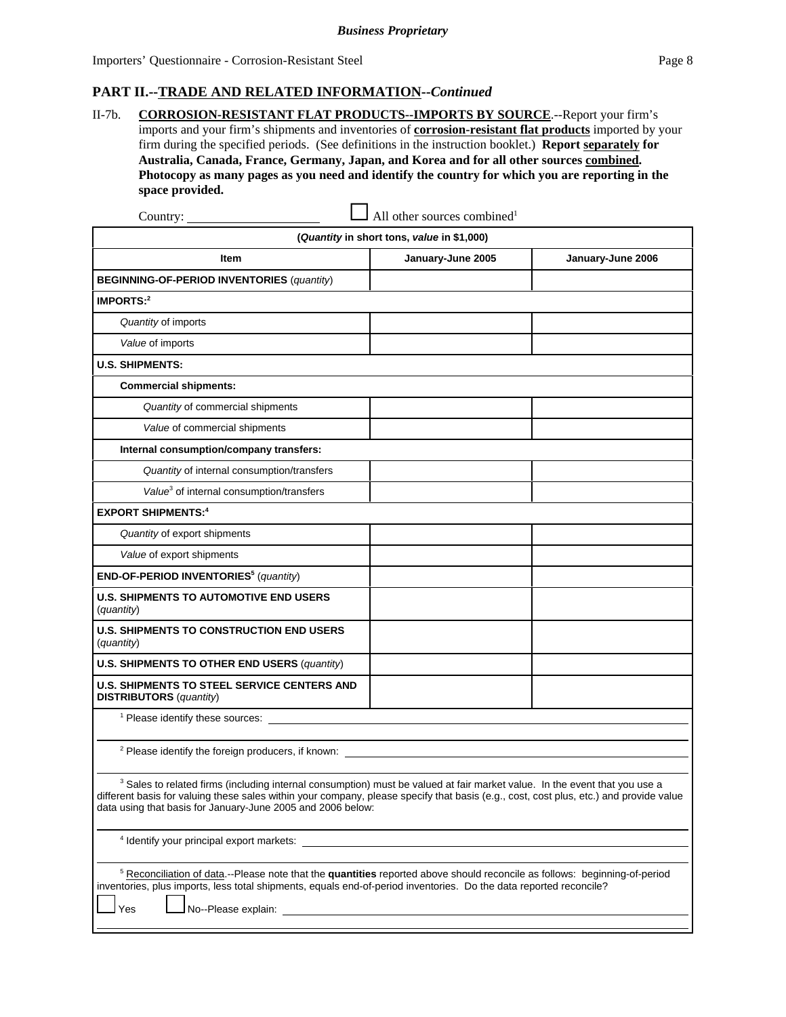#### **PART II.--TRADE AND RELATED INFORMATION--***Continued*

II-7b. **CORROSION-RESISTANT FLAT PRODUCTS--IMPORTS BY SOURCE**.--Report your firm's imports and your firm's shipments and inventories of **corrosion-resistant flat products** imported by your firm during the specified periods. (See definitions in the instruction booklet.) **Report separately for Australia, Canada, France, Germany, Japan, and Korea and for all other sources combined. Photocopy as many pages as you need and identify the country for which you are reporting in the space provided.**

| Country:                                                                                                                                                                                                                                                                                                                                       | All other sources combined <sup>1</sup>    |                   |  |  |  |  |  |  |  |
|------------------------------------------------------------------------------------------------------------------------------------------------------------------------------------------------------------------------------------------------------------------------------------------------------------------------------------------------|--------------------------------------------|-------------------|--|--|--|--|--|--|--|
|                                                                                                                                                                                                                                                                                                                                                | (Quantity in short tons, value in \$1,000) |                   |  |  |  |  |  |  |  |
| Item                                                                                                                                                                                                                                                                                                                                           | January-June 2005                          | January-June 2006 |  |  |  |  |  |  |  |
| <b>BEGINNING-OF-PERIOD INVENTORIES (quantity)</b>                                                                                                                                                                                                                                                                                              |                                            |                   |  |  |  |  |  |  |  |
| <b>IMPORTS:2</b>                                                                                                                                                                                                                                                                                                                               |                                            |                   |  |  |  |  |  |  |  |
| Quantity of imports                                                                                                                                                                                                                                                                                                                            |                                            |                   |  |  |  |  |  |  |  |
| Value of imports                                                                                                                                                                                                                                                                                                                               |                                            |                   |  |  |  |  |  |  |  |
| <b>U.S. SHIPMENTS:</b>                                                                                                                                                                                                                                                                                                                         |                                            |                   |  |  |  |  |  |  |  |
| <b>Commercial shipments:</b>                                                                                                                                                                                                                                                                                                                   |                                            |                   |  |  |  |  |  |  |  |
| Quantity of commercial shipments                                                                                                                                                                                                                                                                                                               |                                            |                   |  |  |  |  |  |  |  |
| Value of commercial shipments                                                                                                                                                                                                                                                                                                                  |                                            |                   |  |  |  |  |  |  |  |
| Internal consumption/company transfers:                                                                                                                                                                                                                                                                                                        |                                            |                   |  |  |  |  |  |  |  |
| Quantity of internal consumption/transfers                                                                                                                                                                                                                                                                                                     |                                            |                   |  |  |  |  |  |  |  |
| Value <sup>3</sup> of internal consumption/transfers                                                                                                                                                                                                                                                                                           |                                            |                   |  |  |  |  |  |  |  |
| <b>EXPORT SHIPMENTS:4</b>                                                                                                                                                                                                                                                                                                                      |                                            |                   |  |  |  |  |  |  |  |
| Quantity of export shipments                                                                                                                                                                                                                                                                                                                   |                                            |                   |  |  |  |  |  |  |  |
| Value of export shipments                                                                                                                                                                                                                                                                                                                      |                                            |                   |  |  |  |  |  |  |  |
| END-OF-PERIOD INVENTORIES <sup>5</sup> (quantity)                                                                                                                                                                                                                                                                                              |                                            |                   |  |  |  |  |  |  |  |
| <b>U.S. SHIPMENTS TO AUTOMOTIVE END USERS</b><br>(quantity)                                                                                                                                                                                                                                                                                    |                                            |                   |  |  |  |  |  |  |  |
| <b>U.S. SHIPMENTS TO CONSTRUCTION END USERS</b><br>(quantity)                                                                                                                                                                                                                                                                                  |                                            |                   |  |  |  |  |  |  |  |
| <b>U.S. SHIPMENTS TO OTHER END USERS (quantity)</b>                                                                                                                                                                                                                                                                                            |                                            |                   |  |  |  |  |  |  |  |
| <b>U.S. SHIPMENTS TO STEEL SERVICE CENTERS AND</b><br><b>DISTRIBUTORS</b> (quantity)                                                                                                                                                                                                                                                           |                                            |                   |  |  |  |  |  |  |  |
| <sup>1</sup> Please identify these sources:                                                                                                                                                                                                                                                                                                    |                                            |                   |  |  |  |  |  |  |  |
| <sup>2</sup> Please identify the foreign producers, if known:                                                                                                                                                                                                                                                                                  |                                            |                   |  |  |  |  |  |  |  |
| <sup>3</sup> Sales to related firms (including internal consumption) must be valued at fair market value. In the event that you use a<br>different basis for valuing these sales within your company, please specify that basis (e.g., cost, cost plus, etc.) and provide value<br>data using that basis for January-June 2005 and 2006 below: |                                            |                   |  |  |  |  |  |  |  |
|                                                                                                                                                                                                                                                                                                                                                |                                            |                   |  |  |  |  |  |  |  |
| <sup>5</sup> Reconciliation of data.--Please note that the quantities reported above should reconcile as follows: beginning-of-period<br>inventories, plus imports, less total shipments, equals end-of-period inventories. Do the data reported reconcile?                                                                                    |                                            |                   |  |  |  |  |  |  |  |

Yes Lo-Please explain: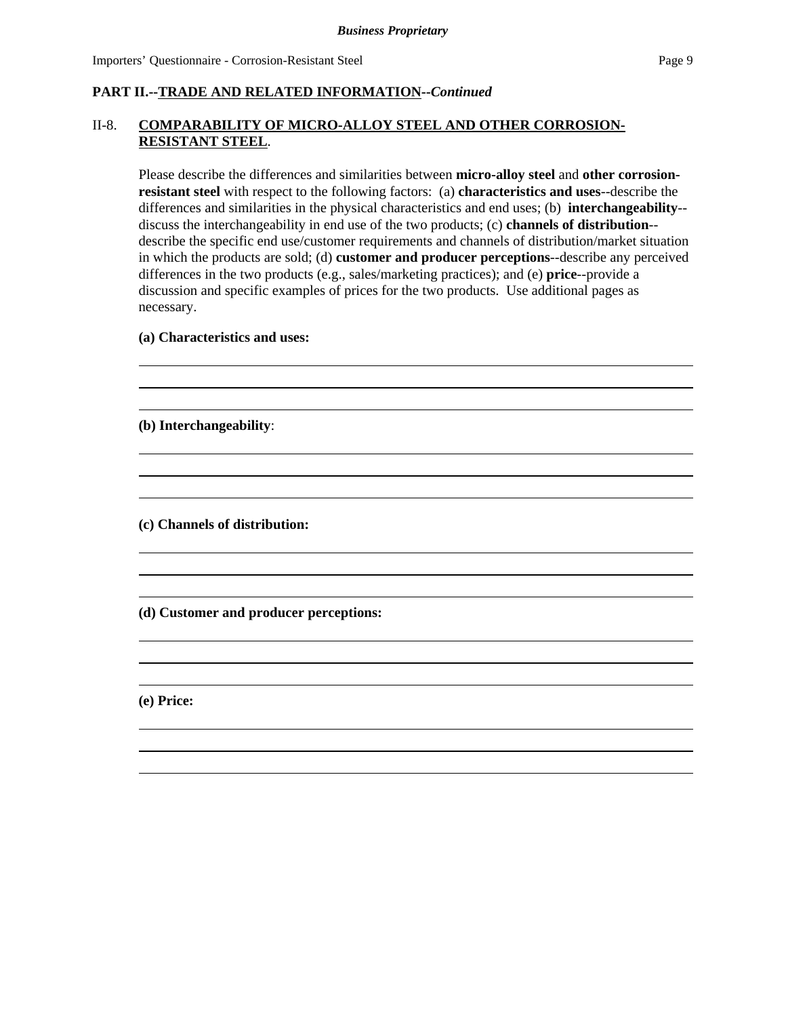#### **PART II.--TRADE AND RELATED INFORMATION--***Continued*

#### II-8. **COMPARABILITY OF MICRO-ALLOY STEEL AND OTHER CORROSION-RESISTANT STEEL**.

Please describe the differences and similarities between **micro-alloy steel** and **other corrosionresistant steel** with respect to the following factors: (a) **characteristics and uses**--describe the differences and similarities in the physical characteristics and end uses; (b) **interchangeability**- discuss the interchangeability in end use of the two products; (c) **channels of distribution**- describe the specific end use/customer requirements and channels of distribution/market situation in which the products are sold; (d) **customer and producer perceptions**--describe any perceived differences in the two products (e.g., sales/marketing practices); and (e) **price**--provide a discussion and specific examples of prices for the two products. Use additional pages as necessary.

> $\overline{a}$  $\overline{a}$

> $\overline{a}$  $\overline{a}$

> $\overline{a}$  $\overline{a}$

> $\overline{a}$  $\overline{a}$

> $\overline{a}$  $\overline{a}$

#### **(a) Characteristics and uses:**

**(b) Interchangeability**:

**(c) Channels of distribution:**

**(d) Customer and producer perceptions:**

**(e) Price:**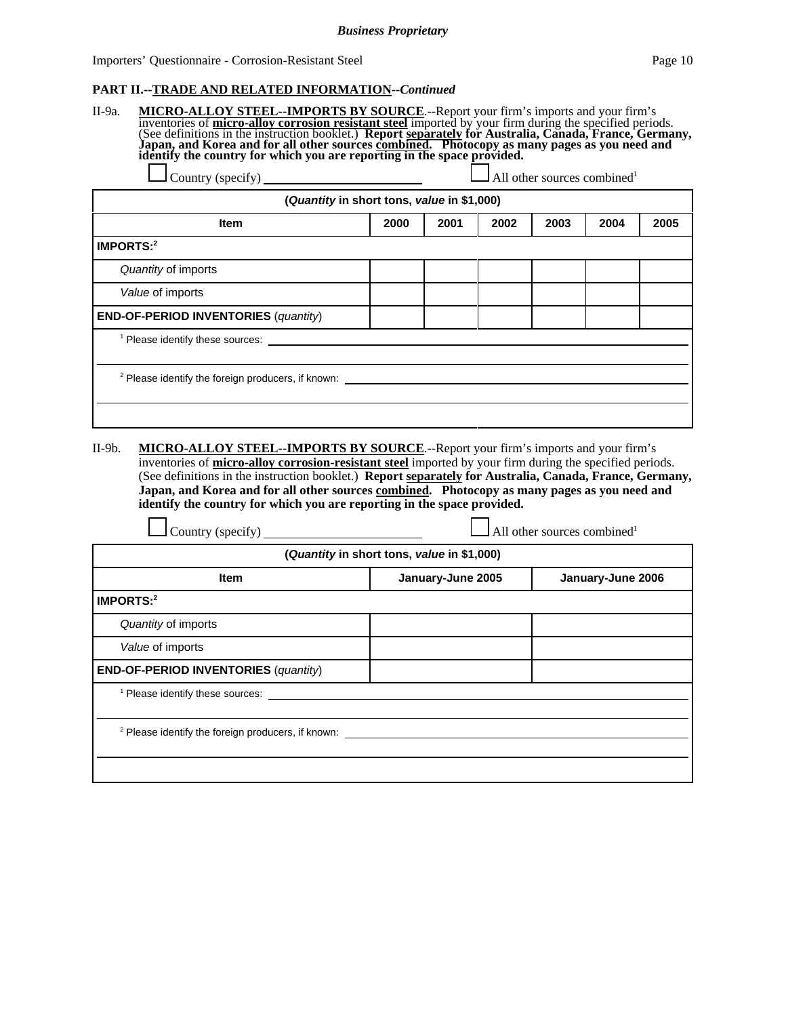#### **PART II.--TRADE AND RELATED INFORMATION--***Continued*

| II-9a.    | MICRO-ALLOY STEEL--IMPORTS BY SOURCE.--Report your firm's imports and your firm's inventories of micro-alloy corrosion resistant steel imported by your firm during the specified periods.<br>(See definitions in the instruction<br>(Quantity in short tons, value in \$1,000) |      |      |      | All other sources combined <sup>1</sup> |      |      |
|-----------|---------------------------------------------------------------------------------------------------------------------------------------------------------------------------------------------------------------------------------------------------------------------------------|------|------|------|-----------------------------------------|------|------|
|           | Item                                                                                                                                                                                                                                                                            | 2000 | 2001 | 2002 | 2003                                    | 2004 | 2005 |
| IMPORTS:2 |                                                                                                                                                                                                                                                                                 |      |      |      |                                         |      |      |
|           | Quantity of imports                                                                                                                                                                                                                                                             |      |      |      |                                         |      |      |
|           | Value of imports                                                                                                                                                                                                                                                                |      |      |      |                                         |      |      |
|           | <b>END-OF-PERIOD INVENTORIES (quantity)</b>                                                                                                                                                                                                                                     |      |      |      |                                         |      |      |
|           | <sup>1</sup> Please identify these sources:                                                                                                                                                                                                                                     |      |      |      |                                         |      |      |
|           | <sup>2</sup> Please identify the foreign producers, if known:                                                                                                                                                                                                                   |      |      |      |                                         |      |      |

II-9b. **MICRO-ALLOY STEEL--IMPORTS BY SOURCE**.--Report your firm's imports and your firm's inventories of **micro-alloy corrosion-resistant steel** imported by your firm during the specified periods. (See definitions in the instruction booklet.) **Report separately for Australia, Canada, France, Germany, Japan, and Korea and for all other sources combined. Photocopy as many pages as you need and identify the country for which you are reporting in the space provided.**

| Country (specify)                                             |                                            | All other sources combined <sup>1</sup> |
|---------------------------------------------------------------|--------------------------------------------|-----------------------------------------|
|                                                               | (Quantity in short tons, value in \$1,000) |                                         |
| <b>Item</b>                                                   | January-June 2005                          | January-June 2006                       |
| IMPORTS:2                                                     |                                            |                                         |
| Quantity of imports                                           |                                            |                                         |
| Value of imports                                              |                                            |                                         |
| <b>END-OF-PERIOD INVENTORIES (quantity)</b>                   |                                            |                                         |
| <sup>1</sup> Please identify these sources:                   |                                            |                                         |
|                                                               |                                            |                                         |
| <sup>2</sup> Please identify the foreign producers, if known: |                                            |                                         |
|                                                               |                                            |                                         |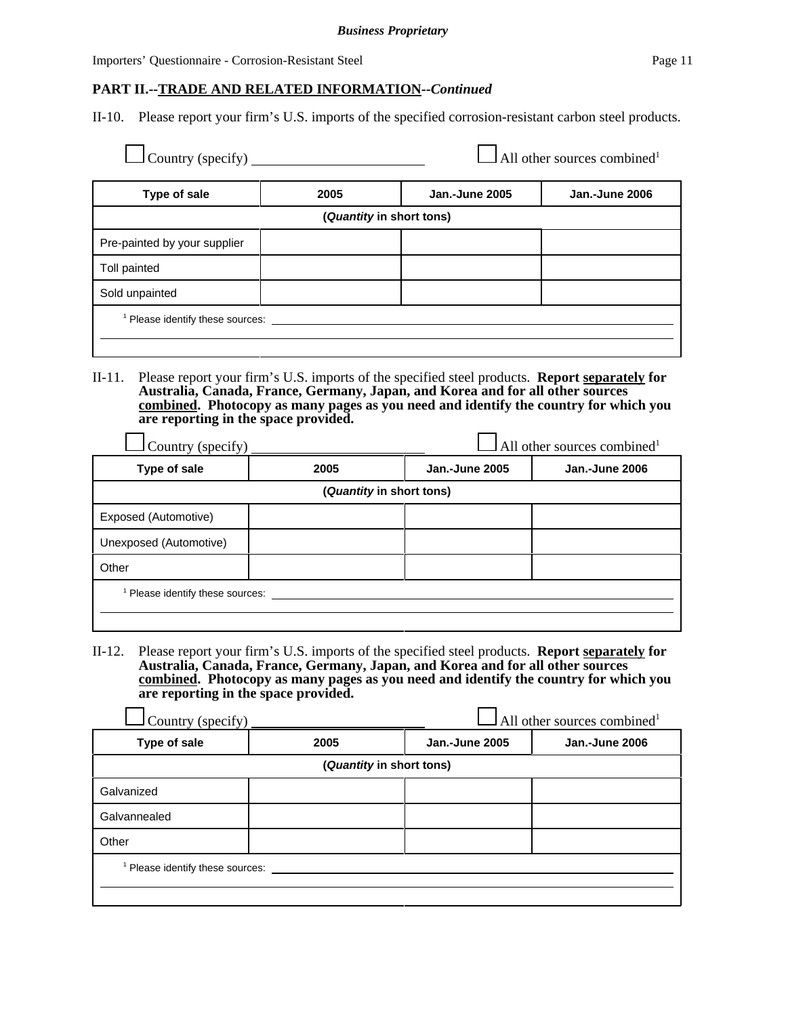#### **PART II.--TRADE AND RELATED INFORMATION--***Continued*

II-10. Please report your firm's U.S. imports of the specified corrosion-resistant carbon steel products.

| Type of sale                 | 2005                     | <b>Jan.-June 2005</b> | <b>Jan.-June 2006</b> |
|------------------------------|--------------------------|-----------------------|-----------------------|
|                              | (Quantity in short tons) |                       |                       |
| Pre-painted by your supplier |                          |                       |                       |
| Toll painted                 |                          |                       |                       |
| Sold unpainted               |                          |                       |                       |

II-11. Please report your firm's U.S. imports of the specified steel products. **Report separately for Australia, Canada, France, Germany, Japan, and Korea and for all other sources combined. Photocopy as many pages as you need and identify the country for which you are reporting in the space provided.**

| Type of sale                   |  | Jan.-June 2005<br><b>Jan.-June 2006</b><br>2005 |  |
|--------------------------------|--|-------------------------------------------------|--|
| (Quantity in short tons)       |  |                                                 |  |
| Exposed (Automotive)           |  |                                                 |  |
| Unexposed (Automotive)         |  |                                                 |  |
| Other                          |  |                                                 |  |
| Please identify these sources: |  |                                                 |  |

II-12. Please report your firm's U.S. imports of the specified steel products. **Report separately for Australia, Canada, France, Germany, Japan, and Korea and for all other sources combined. Photocopy as many pages as you need and identify the country for which you are reporting in the space provided.**

| All other sources combined <sup>1</sup><br>Country (specify) |      |                                         |  |  |
|--------------------------------------------------------------|------|-----------------------------------------|--|--|
| Type of sale                                                 | 2005 | Jan.-June 2005<br><b>Jan.-June 2006</b> |  |  |
| (Quantity in short tons)                                     |      |                                         |  |  |
| Galvanized                                                   |      |                                         |  |  |
| Galvannealed                                                 |      |                                         |  |  |
| Other                                                        |      |                                         |  |  |
| Please identify these sources:                               |      |                                         |  |  |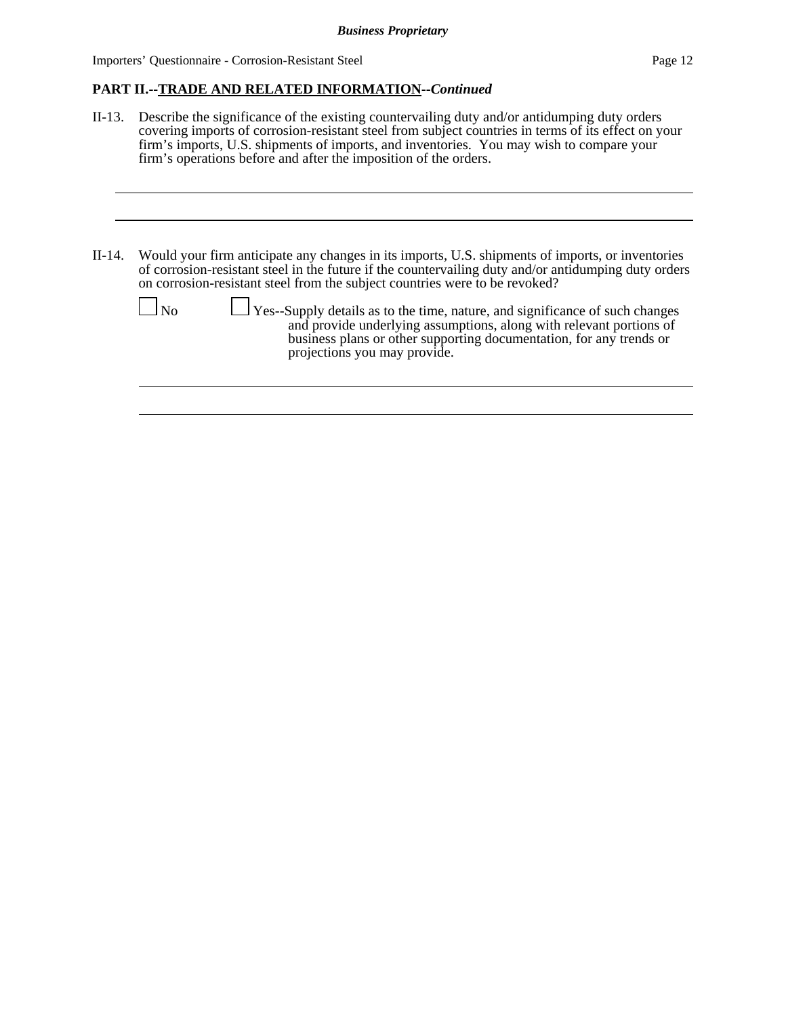#### **PART II.--TRADE AND RELATED INFORMATION--***Continued*

- II-13. Describe the significance of the existing countervailing duty and/or antidumping duty orders covering imports of corrosion-resistant steel from subject countries in terms of its effect on your firm's imports, U.S. shipments of imports, and inventories. You may wish to compare your firm's operations before and after the imposition of the orders.
- II-14. Would your firm anticipate any changes in its imports, U.S. shipments of imports, or inventories of corrosion-resistant steel in the future if the countervailing duty and/or antidumping duty orders on corrosion-resistant steel from the subject countries were to be revoked?

| $\Box$ No | $\Box$ Yes--Supply details as to the time, nature, and significance of such changes<br>and provide underlying assumptions, along with relevant portions of<br>business plans or other supporting documentation, for any trends or<br>projections you may provide. |
|-----------|-------------------------------------------------------------------------------------------------------------------------------------------------------------------------------------------------------------------------------------------------------------------|
|           |                                                                                                                                                                                                                                                                   |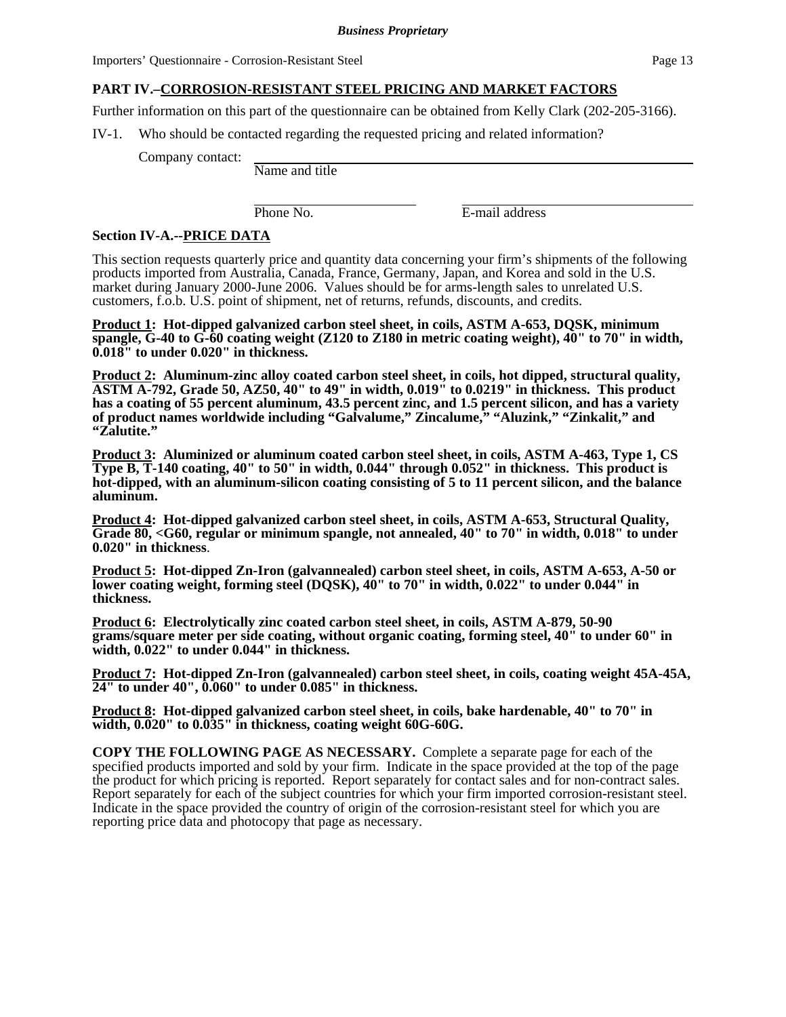## **PART IV.–CORROSION-RESISTANT STEEL PRICING AND MARKET FACTORS**

Further information on this part of the questionnaire can be obtained from Kelly Clark (202-205-3166).

IV-1. Who should be contacted regarding the requested pricing and related information?

Company contact:

Name and title

Phone No. **E-mail address** 

#### **Section IV-A.--PRICE DATA**

This section requests quarterly price and quantity data concerning your firm's shipments of the following products imported from Australia, Canada, France, Germany, Japan, and Korea and sold in the U.S. market during January 2000-June 2006. Values should be for arms-length sales to unrelated U.S. customers, f.o.b. U.S. point of shipment, net of returns, refunds, discounts, and credits.

**Product 1: Hot-dipped galvanized carbon steel sheet, in coils, ASTM A-653, DQSK, minimum spangle, G-40 to G-60 coating weight (Z120 to Z180 in metric coating weight), 40" to 70" in width, 0.018" to under 0.020" in thickness.** 

**Product 2: Aluminum-zinc alloy coated carbon steel sheet, in coils, hot dipped, structural quality, ASTM A-792, Grade 50, AZ50, 40" to 49" in width, 0.019" to 0.0219" in thickness. This product has a coating of 55 percent aluminum, 43.5 percent zinc, and 1.5 percent silicon, and has a variety of product names worldwide including "Galvalume," Zincalume," "Aluzink," "Zinkalit," and "Zalutite."**

**Product 3: Aluminized or aluminum coated carbon steel sheet, in coils, ASTM A-463, Type 1, CS Type B, T-140 coating, 40" to 50" in width, 0.044" through 0.052" in thickness. This product is hot-dipped, with an aluminum-silicon coating consisting of 5 to 11 percent silicon, and the balance aluminum.** 

**Product 4: Hot-dipped galvanized carbon steel sheet, in coils, ASTM A-653, Structural Quality, Grade 80, <G60, regular or minimum spangle, not annealed, 40" to 70" in width, 0.018" to under 0.020" in thickness**.

**Product 5: Hot-dipped Zn-Iron (galvannealed) carbon steel sheet, in coils, ASTM A-653, A-50 or lower coating weight, forming steel (DQSK), 40" to 70" in width, 0.022" to under 0.044" in thickness.** 

**Product 6: Electrolytically zinc coated carbon steel sheet, in coils, ASTM A-879, 50-90 grams/square meter per side coating, without organic coating, forming steel, 40" to under 60" in width, 0.022" to under 0.044" in thickness.** 

**Product 7: Hot-dipped Zn-Iron (galvannealed) carbon steel sheet, in coils, coating weight 45A-45A, 24" to under 40", 0.060" to under 0.085" in thickness.** 

**Product 8: Hot-dipped galvanized carbon steel sheet, in coils, bake hardenable, 40" to 70" in width, 0.020" to 0.035" in thickness, coating weight 60G-60G.**

**COPY THE FOLLOWING PAGE AS NECESSARY.** Complete a separate page for each of the specified products imported and sold by your firm. Indicate in the space provided at the top of the page the product for which pricing is reported. Report separately for contact sales and for non-contract sales. Report separately for each of the subject countries for which your firm imported corrosion-resistant steel. Indicate in the space provided the country of origin of the corrosion-resistant steel for which you are reporting price data and photocopy that page as necessary.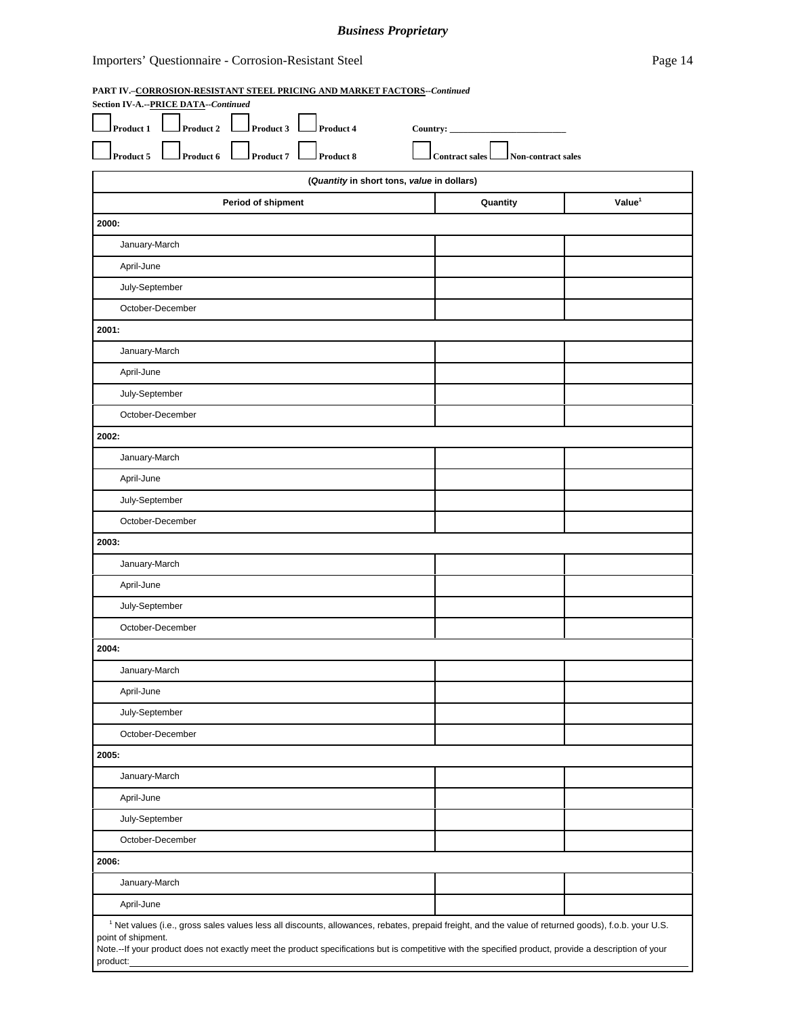#### *Business Proprietary*

#### Importers' Questionnaire - Corrosion-Resistant Steel Page 14

#### **PART IV.–CORROSION-RESISTANT STEEL PRICING AND MARKET FACTORS--***Continued*

| Section IV-A .-- PRICE DATA--Continued                                                                                                                         |                                                                                                                                                                            |                    |
|----------------------------------------------------------------------------------------------------------------------------------------------------------------|----------------------------------------------------------------------------------------------------------------------------------------------------------------------------|--------------------|
| Product 2<br>Product 1<br>Product 3<br>Product 4<br>Country: $\overline{\phantom{a}}$                                                                          |                                                                                                                                                                            |                    |
| Product 6<br>Product 7<br>Product 8<br>Product 5                                                                                                               | <b>Contract sales</b><br>Non-contract sales                                                                                                                                |                    |
| (Quantity in short tons, value in dollars)                                                                                                                     |                                                                                                                                                                            |                    |
| Period of shipment                                                                                                                                             | Quantity                                                                                                                                                                   | Value <sup>1</sup> |
| 2000:                                                                                                                                                          |                                                                                                                                                                            |                    |
| January-March                                                                                                                                                  |                                                                                                                                                                            |                    |
| April-June                                                                                                                                                     |                                                                                                                                                                            |                    |
| July-September                                                                                                                                                 |                                                                                                                                                                            |                    |
| October-December                                                                                                                                               |                                                                                                                                                                            |                    |
| 2001:                                                                                                                                                          |                                                                                                                                                                            |                    |
| January-March                                                                                                                                                  |                                                                                                                                                                            |                    |
| April-June                                                                                                                                                     |                                                                                                                                                                            |                    |
| July-September                                                                                                                                                 |                                                                                                                                                                            |                    |
| October-December                                                                                                                                               |                                                                                                                                                                            |                    |
| 2002:                                                                                                                                                          |                                                                                                                                                                            |                    |
| January-March                                                                                                                                                  |                                                                                                                                                                            |                    |
| April-June                                                                                                                                                     |                                                                                                                                                                            |                    |
| July-September                                                                                                                                                 |                                                                                                                                                                            |                    |
| October-December                                                                                                                                               |                                                                                                                                                                            |                    |
| 2003:                                                                                                                                                          |                                                                                                                                                                            |                    |
| January-March                                                                                                                                                  |                                                                                                                                                                            |                    |
| April-June                                                                                                                                                     |                                                                                                                                                                            |                    |
| July-September                                                                                                                                                 |                                                                                                                                                                            |                    |
| October-December                                                                                                                                               |                                                                                                                                                                            |                    |
| 2004:                                                                                                                                                          |                                                                                                                                                                            |                    |
| January-March                                                                                                                                                  |                                                                                                                                                                            |                    |
| April-June                                                                                                                                                     |                                                                                                                                                                            |                    |
| July-September                                                                                                                                                 |                                                                                                                                                                            |                    |
| October-December                                                                                                                                               |                                                                                                                                                                            |                    |
| 2005:                                                                                                                                                          |                                                                                                                                                                            |                    |
| January-March                                                                                                                                                  |                                                                                                                                                                            |                    |
| April-June                                                                                                                                                     |                                                                                                                                                                            |                    |
| July-September                                                                                                                                                 |                                                                                                                                                                            |                    |
| October-December                                                                                                                                               |                                                                                                                                                                            |                    |
| 2006:                                                                                                                                                          |                                                                                                                                                                            |                    |
| January-March                                                                                                                                                  |                                                                                                                                                                            |                    |
| April-June                                                                                                                                                     |                                                                                                                                                                            |                    |
| <sup>1</sup> Net values (i.e., gross sales values less all discounts, allowances, rebates, prepaid freight, and the value of returned goods), f.o.b. your U.S. |                                                                                                                                                                            |                    |
|                                                                                                                                                                | point of shipment.<br>Note.--If your product does not exactly meet the product specifications but is competitive with the specified product, provide a description of your |                    |
| product:                                                                                                                                                       |                                                                                                                                                                            |                    |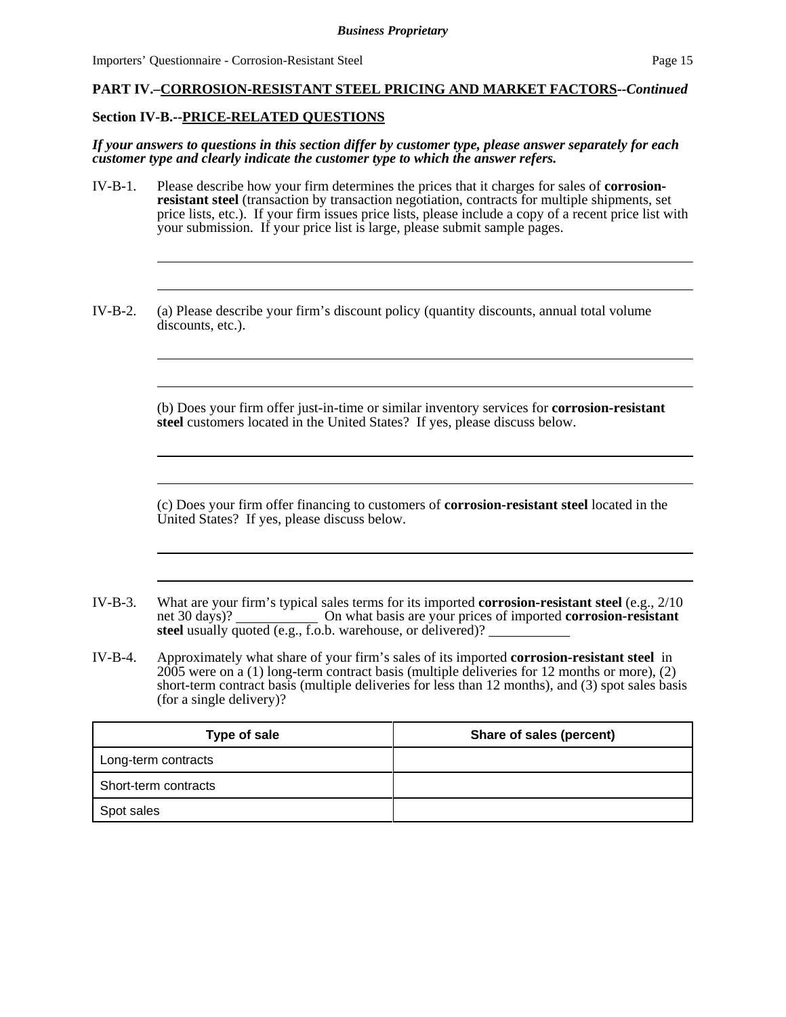#### **PART IV.–CORROSION-RESISTANT STEEL PRICING AND MARKET FACTORS--***Continued*

#### **Section IV-B.--PRICE-RELATED QUESTIONS**

*If your answers to questions in this section differ by customer type, please answer separately for each customer type and clearly indicate the customer type to which the answer refers.* 

- IV-B-1. Please describe how your firm determines the prices that it charges for sales of **corrosionresistant steel** (transaction by transaction negotiation, contracts for multiple shipments, set price lists, etc.). If your firm issues price lists, please include a copy of a recent price list with your submission. If your price list is large, please submit sample pages.
- IV-B-2. (a) Please describe your firm's discount policy (quantity discounts, annual total volume discounts, etc.).

(b) Does your firm offer just-in-time or similar inventory services for **corrosion-resistant steel** customers located in the United States? If yes, please discuss below.

(c) Does your firm offer financing to customers of **corrosion-resistant steel** located in the United States? If yes, please discuss below.

- IV-B-3. What are your firm's typical sales terms for its imported **corrosion-resistant steel** (e.g., 2/10 net 30 days)? On what basis are your prices of imported **corrosion-resistant steel** usually quoted (e.g., f.o.b. warehouse, or delivered)?
- IV-B-4. Approximately what share of your firm's sales of its imported **corrosion-resistant steel** in 2005 were on a (1) long-term contract basis (multiple deliveries for 12 months or more), (2) short-term contract basis (multiple deliveries for less than 12 months), and (3) spot sales basis (for a single delivery)?

| Type of sale         | Share of sales (percent) |
|----------------------|--------------------------|
| Long-term contracts  |                          |
| Short-term contracts |                          |
| Spot sales           |                          |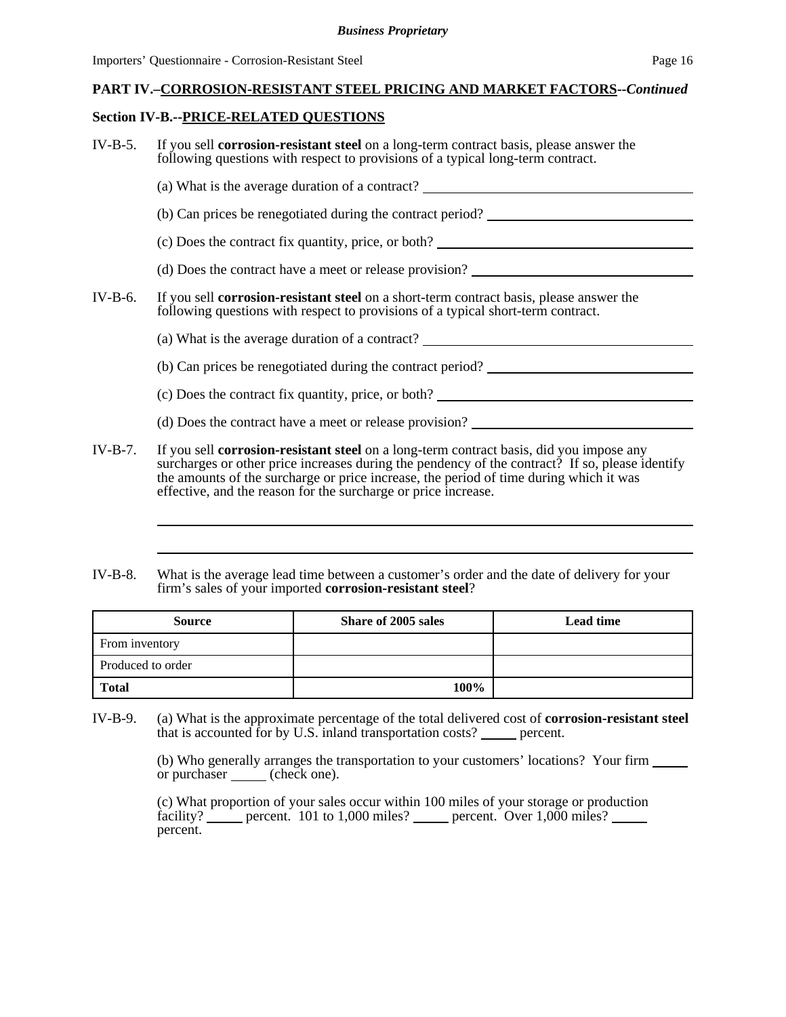#### **PART IV.–CORROSION-RESISTANT STEEL PRICING AND MARKET FACTORS--***Continued*

#### **Section IV-B.--PRICE-RELATED QUESTIONS**

- IV-B-5. If you sell **corrosion-resistant steel** on a long-term contract basis, please answer the following questions with respect to provisions of a typical long-term contract. (a) What is the average duration of a contract? (b) Can prices be renegotiated during the contract period? (c) Does the contract fix quantity, price, or both? (d) Does the contract have a meet or release provision? IV-B-6. If you sell **corrosion-resistant steel** on a short-term contract basis, please answer the following questions with respect to provisions of a typical short-term contract. (a) What is the average duration of a contract? (b) Can prices be renegotiated during the contract period? (c) Does the contract fix quantity, price, or both? (d) Does the contract have a meet or release provision? IV-B-7. If you sell **corrosion-resistant steel** on a long-term contract basis, did you impose any surcharges or other price increases during the pendency of the contract? If so, please identify the amounts of the surcharge or price increase, the period of time during which it was effective, and the reason for the surcharge or price increase.
- IV-B-8. What is the average lead time between a customer's order and the date of delivery for your firm's sales of your imported **corrosion-resistant steel**?

| <b>Source</b>     | Share of 2005 sales | <b>Lead time</b> |
|-------------------|---------------------|------------------|
| From inventory    |                     |                  |
| Produced to order |                     |                  |
| <b>Total</b>      | 100%                |                  |

IV-B-9. (a) What is the approximate percentage of the total delivered cost of **corrosion-resistant steel** that is accounted for by U.S. inland transportation costs? <u>percent</u>.

> (b) Who generally arranges the transportation to your customers' locations? Your firm or purchaser <u>contain</u> (check one).

(c) What proportion of your sales occur within 100 miles of your storage or production facility?  $\frac{1}{\sqrt{2}}$  percent. 101 to 1,000 miles? percent. Over 1,000 miles? percent.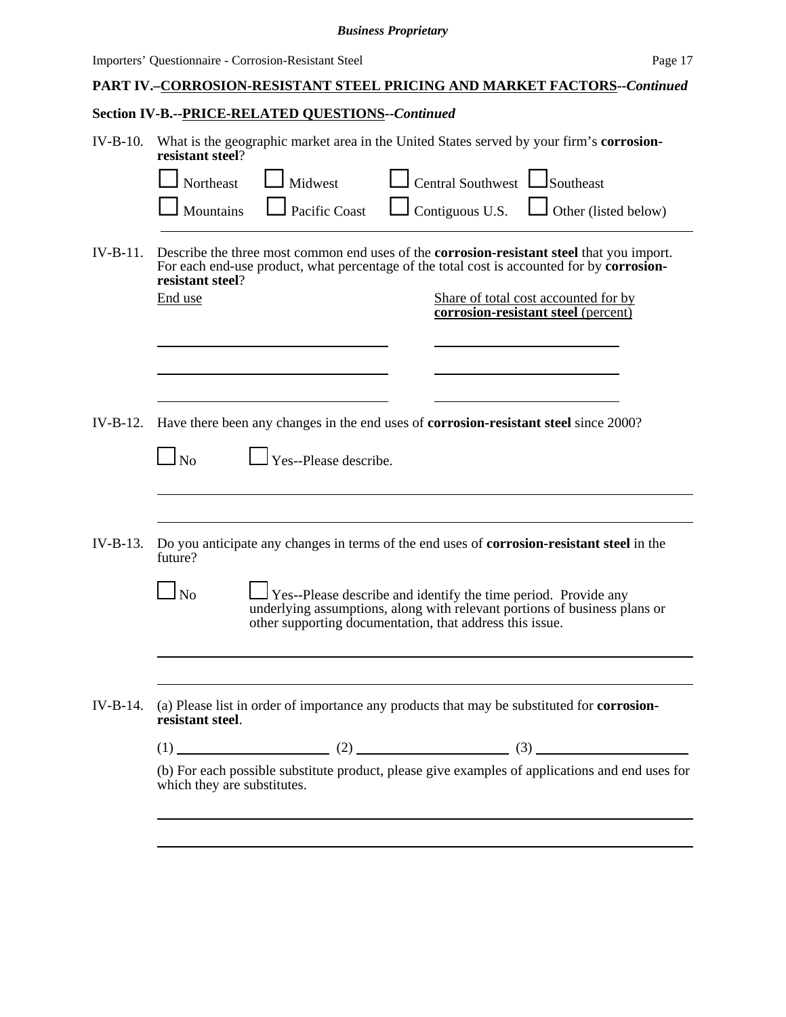#### *Business Proprietary*

Importers' Questionnaire - Corrosion-Resistant Steel Page 17

# **PART IV.–CORROSION-RESISTANT STEEL PRICING AND MARKET FACTORS--***Continued*

# **Section IV-B.--PRICE-RELATED QUESTIONS--***Continued*

| $IV-B-10.$ | What is the geographic market area in the United States served by your firm's corrosion-<br>resistant steel?<br>Midwest<br>Central Southwest<br><b>S</b> outheast<br>Northeast                                                                                                                               |
|------------|--------------------------------------------------------------------------------------------------------------------------------------------------------------------------------------------------------------------------------------------------------------------------------------------------------------|
|            | Mountains<br>Pacific Coast<br>$\sqrt{\frac{1}{1}}$ Contiguous U.S.<br>Other (listed below)                                                                                                                                                                                                                   |
| $IV-B-11.$ | Describe the three most common end uses of the <b>corrosion-resistant steel</b> that you import.<br>For each end-use product, what percentage of the total cost is accounted for by corrosion-<br>resistant steel?<br>End use<br>Share of total cost accounted for by<br>corrosion-resistant steel (percent) |
|            |                                                                                                                                                                                                                                                                                                              |
| $IV-B-12.$ | Have there been any changes in the end uses of <b>corrosion-resistant steel</b> since 2000?                                                                                                                                                                                                                  |
|            | Yes--Please describe.<br>No                                                                                                                                                                                                                                                                                  |
|            |                                                                                                                                                                                                                                                                                                              |
| $IV-B-13.$ | Do you anticipate any changes in terms of the end uses of <b>corrosion-resistant steel</b> in the<br>future?                                                                                                                                                                                                 |
|            | No<br><b>Yes--Please describe and identify the time period. Provide any</b><br>underlying assumptions, along with relevant portions of business plans or<br>other supporting documentation, that address this issue.                                                                                         |
|            |                                                                                                                                                                                                                                                                                                              |
| $IV-B-14.$ | (a) Please list in order of importance any products that may be substituted for <b>corrosion-</b><br>resistant steel.                                                                                                                                                                                        |
|            |                                                                                                                                                                                                                                                                                                              |
|            | (b) For each possible substitute product, please give examples of applications and end uses for<br>which they are substitutes.                                                                                                                                                                               |
|            | ,我们也不会有什么。""我们的人,我们也不会有什么?""我们的人,我们也不会有什么?""我们的人,我们也不会有什么?""我们的人,我们也不会有什么?""我们的人                                                                                                                                                                                                                             |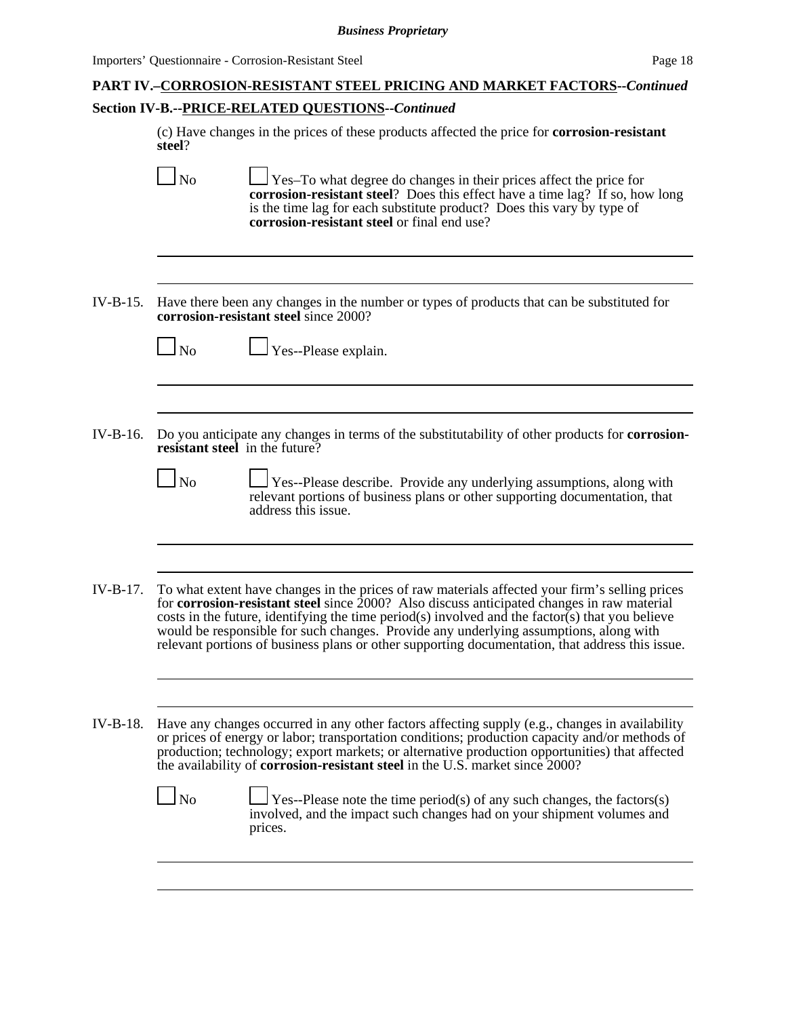# **PART IV.–CORROSION-RESISTANT STEEL PRICING AND MARKET FACTORS--***Continued* **Section IV-B.--PRICE-RELATED QUESTIONS--***Continued*

(c) Have changes in the prices of these products affected the price for **corrosion-resistant steel**?

|            | N <sub>o</sub>    | Yes-To what degree do changes in their prices affect the price for<br><b>corrosion-resistant steel?</b> Does this effect have a time lag? If so, how long<br>is the time lag for each substitute product? Does this vary by type of<br>corrosion-resistant steel or final end use?                                                                                                                                                                                                          |
|------------|-------------------|---------------------------------------------------------------------------------------------------------------------------------------------------------------------------------------------------------------------------------------------------------------------------------------------------------------------------------------------------------------------------------------------------------------------------------------------------------------------------------------------|
|            |                   |                                                                                                                                                                                                                                                                                                                                                                                                                                                                                             |
| $IV-B-15.$ |                   | Have there been any changes in the number or types of products that can be substituted for<br>corrosion-resistant steel since 2000?                                                                                                                                                                                                                                                                                                                                                         |
|            | $\blacksquare$ No | $\Box$ Yes--Please explain.                                                                                                                                                                                                                                                                                                                                                                                                                                                                 |
|            |                   |                                                                                                                                                                                                                                                                                                                                                                                                                                                                                             |
| IV-B-16.   |                   | Do you anticipate any changes in terms of the substitutability of other products for <b>corrosion-</b><br>resistant steel in the future?                                                                                                                                                                                                                                                                                                                                                    |
|            | $\Box$ No         | <b>Yes--Please describe.</b> Provide any underlying assumptions, along with<br>relevant portions of business plans or other supporting documentation, that<br>address this issue.                                                                                                                                                                                                                                                                                                           |
|            |                   |                                                                                                                                                                                                                                                                                                                                                                                                                                                                                             |
| IV-B-17.   |                   | To what extent have changes in the prices of raw materials affected your firm's selling prices<br>for corrosion-resistant steel since 2000? Also discuss anticipated changes in raw material<br>costs in the future, identifying the time period(s) involved and the factor(s) that you believe<br>would be responsible for such changes. Provide any underlying assumptions, along with<br>relevant portions of business plans or other supporting documentation, that address this issue. |
|            |                   |                                                                                                                                                                                                                                                                                                                                                                                                                                                                                             |
| IV-B-18.   |                   | Have any changes occurred in any other factors affecting supply (e.g., changes in availability<br>or prices of energy or labor; transportation conditions; production capacity and/or methods of<br>production; technology; export markets; or alternative production opportunities) that affected<br>the availability of <b>corrosion-resistant steel</b> in the U.S. market since 2000?                                                                                                   |
|            | $\Box$ No         | Yes--Please note the time period(s) of any such changes, the factors(s)<br>involved, and the impact such changes had on your shipment volumes and<br>prices.                                                                                                                                                                                                                                                                                                                                |
|            |                   |                                                                                                                                                                                                                                                                                                                                                                                                                                                                                             |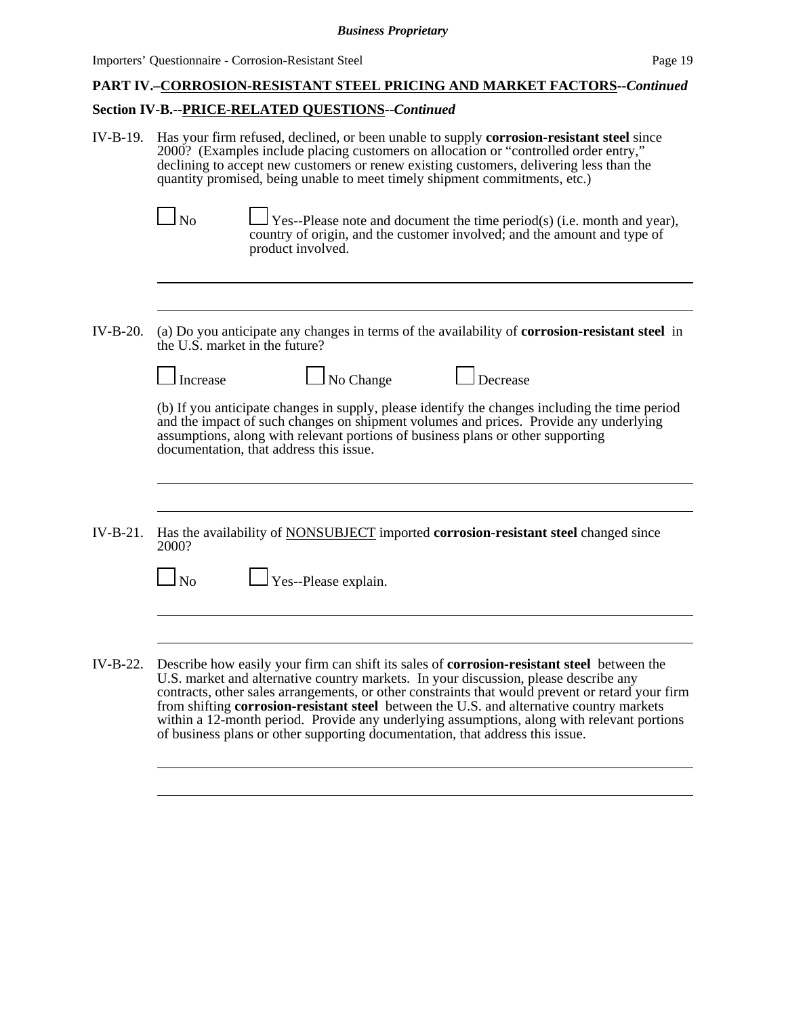# **PART IV.–CORROSION-RESISTANT STEEL PRICING AND MARKET FACTORS--***Continued*

# **Section IV-B.--PRICE-RELATED QUESTIONS--***Continued*

| $IV-B-19$ . | Has your firm refused, declined, or been unable to supply <b>corrosion-resistant steel</b> since<br>2000? (Examples include placing customers on allocation or "controlled order entry,"<br>declining to accept new customers or renew existing customers, delivering less than the<br>quantity promised, being unable to meet timely shipment commitments, etc.)<br>$\Box$ No<br>Yes--Please note and document the time period(s) (i.e. month and year),<br>country of origin, and the customer involved; and the amount and type of<br>product involved.               |  |
|-------------|--------------------------------------------------------------------------------------------------------------------------------------------------------------------------------------------------------------------------------------------------------------------------------------------------------------------------------------------------------------------------------------------------------------------------------------------------------------------------------------------------------------------------------------------------------------------------|--|
|             |                                                                                                                                                                                                                                                                                                                                                                                                                                                                                                                                                                          |  |
| $IV-B-20.$  | (a) Do you anticipate any changes in terms of the availability of corrosion-resistant steel in<br>the U.S. market in the future?                                                                                                                                                                                                                                                                                                                                                                                                                                         |  |
|             | $\Box$ No Change<br>$\Box$ Decrease<br>Increase                                                                                                                                                                                                                                                                                                                                                                                                                                                                                                                          |  |
|             | (b) If you anticipate changes in supply, please identify the changes including the time period<br>and the impact of such changes on shipment volumes and prices. Provide any underlying<br>assumptions, along with relevant portions of business plans or other supporting<br>documentation, that address this issue.                                                                                                                                                                                                                                                    |  |
|             |                                                                                                                                                                                                                                                                                                                                                                                                                                                                                                                                                                          |  |
| $IV-B-21$ . | Has the availability of <b>NONSUBJECT</b> imported <b>corrosion-resistant steel</b> changed since<br>2000?                                                                                                                                                                                                                                                                                                                                                                                                                                                               |  |
|             | $\Box$ Yes--Please explain.<br>$\Box$ No                                                                                                                                                                                                                                                                                                                                                                                                                                                                                                                                 |  |
|             |                                                                                                                                                                                                                                                                                                                                                                                                                                                                                                                                                                          |  |
| $IV-B-22.$  | Describe how easily your firm can shift its sales of <b>corrosion-resistant steel</b> between the<br>U.S. market and alternative country markets. In your discussion, please describe any<br>contracts, other sales arrangements, or other constraints that would prevent or retard your firm<br>from shifting corrosion-resistant steel between the U.S. and alternative country markets<br>within a 12-month period. Provide any underlying assumptions, along with relevant portions<br>of business plans or other supporting documentation, that address this issue. |  |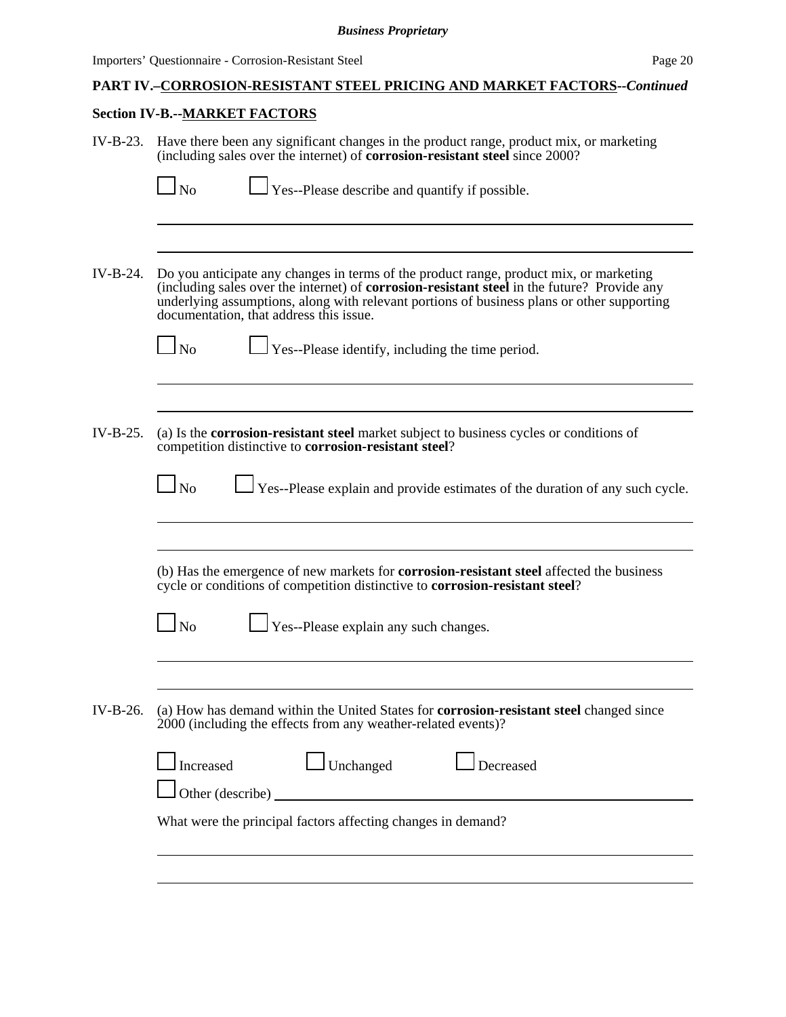# **PART IV.–CORROSION-RESISTANT STEEL PRICING AND MARKET FACTORS--***Continued*

# **Section IV-B.--MARKET FACTORS**

| IV-B-23. | Have there been any significant changes in the product range, product mix, or marketing<br>(including sales over the internet) of <b>corrosion-resistant steel</b> since 2000?                                                                                                                                                                                                                         |
|----------|--------------------------------------------------------------------------------------------------------------------------------------------------------------------------------------------------------------------------------------------------------------------------------------------------------------------------------------------------------------------------------------------------------|
|          | $\Box$ Yes--Please describe and quantify if possible.<br>$\Box$ No                                                                                                                                                                                                                                                                                                                                     |
| IV-B-24. | Do you anticipate any changes in terms of the product range, product mix, or marketing<br>(including sales over the internet) of corrosion-resistant steel in the future? Provide any<br>underlying assumptions, along with relevant portions of business plans or other supporting<br>documentation, that address this issue.<br>$\Box$ No<br>$\Box$ Yes--Please identify, including the time period. |
| IV-B-25. | (a) Is the corrosion-resistant steel market subject to business cycles or conditions of<br>competition distinctive to corrosion-resistant steel?<br>$\Box$ No<br>Yes--Please explain and provide estimates of the duration of any such cycle.                                                                                                                                                          |
|          | (b) Has the emergence of new markets for <b>corrosion-resistant steel</b> affected the business<br>cycle or conditions of competition distinctive to corrosion-resistant steel?<br>$\Box$ No                                                                                                                                                                                                           |
| IV-B-26. | $\Box$ Yes--Please explain any such changes.<br>(a) How has demand within the United States for corrosion-resistant steel changed since<br>2000 (including the effects from any weather-related events)?                                                                                                                                                                                               |
|          | $\Box$ Unchanged<br>Increased<br>Decreased<br>What were the principal factors affecting changes in demand?                                                                                                                                                                                                                                                                                             |
|          |                                                                                                                                                                                                                                                                                                                                                                                                        |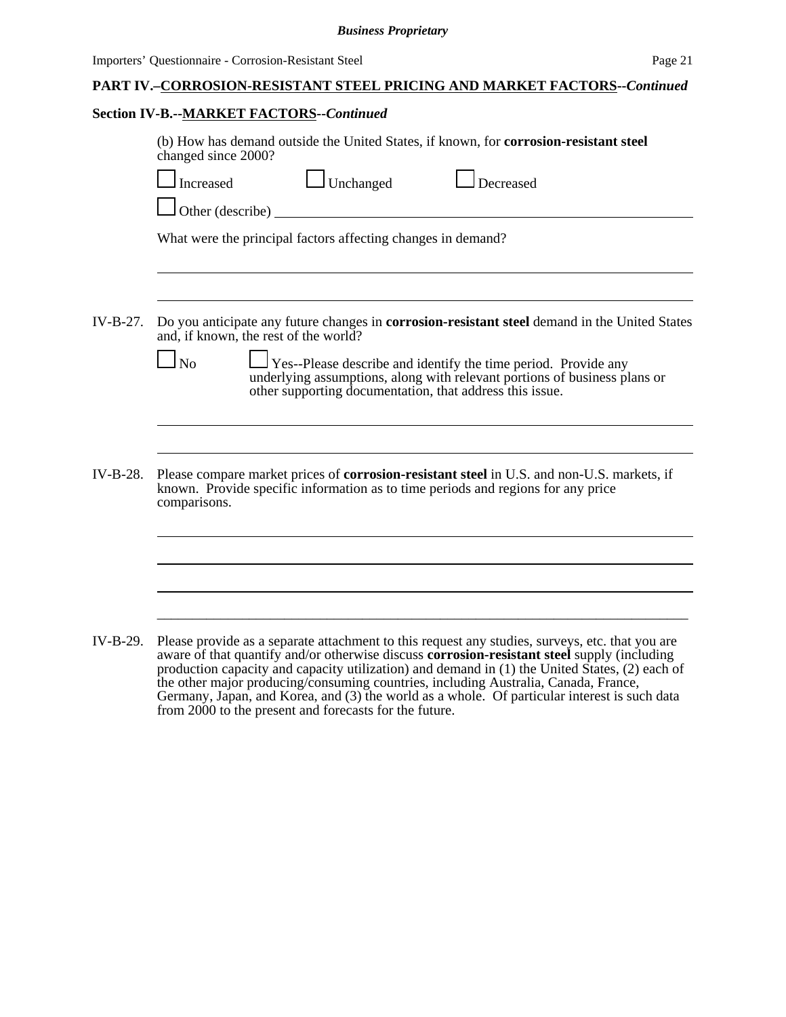#### *Business Proprietary*

| <b>PART IV.-CORROSION-RESISTANT STEEL PRICING AND MARKET FACTORS--Continued</b> |  |
|---------------------------------------------------------------------------------|--|
|                                                                                 |  |

## **Section IV-B.--MARKET FACTORS--***Continued*

|          | (b) How has demand outside the United States, if known, for <b>corrosion-resistant steel</b><br>changed since 2000?<br>$\Box$ Unchanged<br>$\Box$ Decreased<br>Increased<br>Other (describe)<br>What were the principal factors affecting changes in demand?                                                                                                                                   |  |  |  |  |  |  |
|----------|------------------------------------------------------------------------------------------------------------------------------------------------------------------------------------------------------------------------------------------------------------------------------------------------------------------------------------------------------------------------------------------------|--|--|--|--|--|--|
| IV-B-27. | Do you anticipate any future changes in <b>corrosion-resistant steel</b> demand in the United States<br>and, if known, the rest of the world?<br>$\Box$ No<br>Yes--Please describe and identify the time period. Provide any<br>underlying assumptions, along with relevant portions of business plans or<br>other supporting documentation, that address this issue.                          |  |  |  |  |  |  |
| IV-B-28. | Please compare market prices of <b>corrosion-resistant steel</b> in U.S. and non-U.S. markets, if<br>known. Provide specific information as to time periods and regions for any price<br>comparisons.                                                                                                                                                                                          |  |  |  |  |  |  |
| IV-B-29. | Please provide as a separate attachment to this request any studies, surveys, etc. that you are<br>aware of that quantify and/or otherwise discuss <b>corrosion-resistant steel</b> supply (including<br>production capacity and capacity utilization) and demand in (1) the United States, (2) each of<br>the other major producing/consuming countries, including Australia, Canada, France, |  |  |  |  |  |  |

the other major producing/consuming countries, including Australia, Canada, France, Germany, Japan, and Korea, and (3) the world as a whole. Of particular interest is such data from 2000 to the present and forecasts for the future.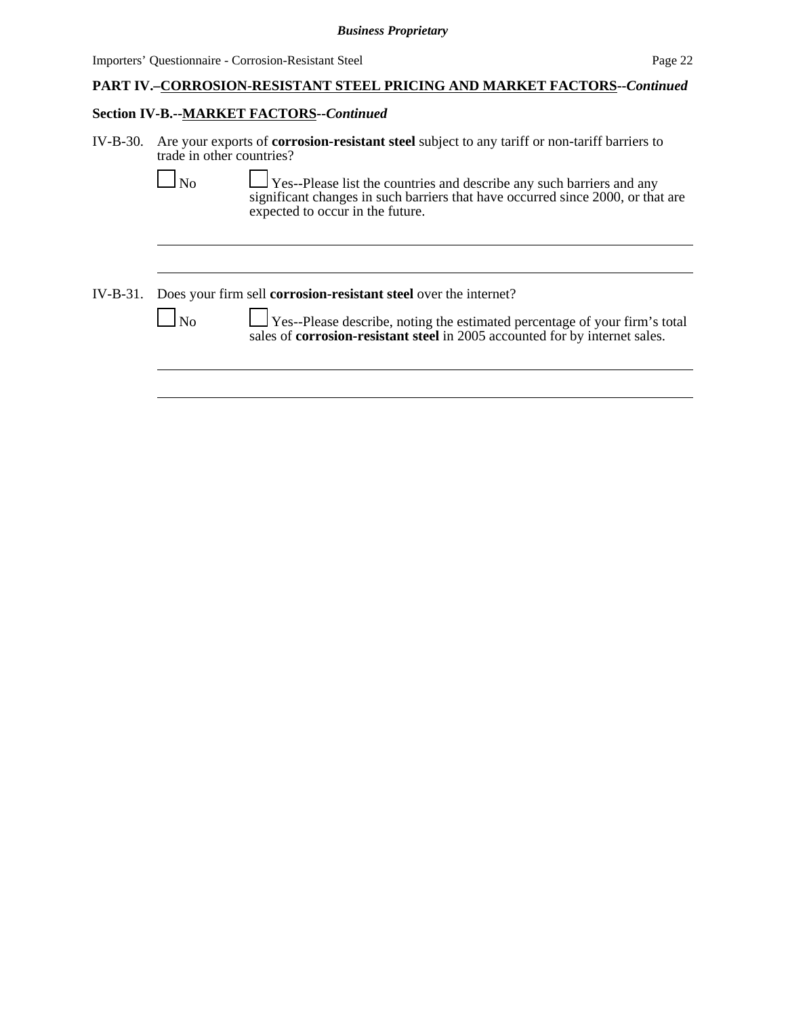# **PART IV.–CORROSION-RESISTANT STEEL PRICING AND MARKET FACTORS--***Continued*

# **Section IV-B.--MARKET FACTORS--***Continued*

| IV-B-30. | Are your exports of <b>corrosion-resistant steel</b> subject to any tariff or non-tariff barriers to<br>trade in other countries? |                                                                                                                                                                                                     |  |  |  |  |
|----------|-----------------------------------------------------------------------------------------------------------------------------------|-----------------------------------------------------------------------------------------------------------------------------------------------------------------------------------------------------|--|--|--|--|
|          |                                                                                                                                   | $\Box$ Yes--Please list the countries and describe any such barriers and any<br>significant changes in such barriers that have occurred since 2000, or that are<br>expected to occur in the future. |  |  |  |  |
|          |                                                                                                                                   |                                                                                                                                                                                                     |  |  |  |  |
|          | IV-B-31. Does your firm sell <b>corrosion-resistant steel</b> over the internet?                                                  |                                                                                                                                                                                                     |  |  |  |  |
|          |                                                                                                                                   | Yes--Please describe, noting the estimated percentage of your firm's total<br>sales of <b>corrosion-resistant steel</b> in 2005 accounted for by internet sales.                                    |  |  |  |  |
|          |                                                                                                                                   |                                                                                                                                                                                                     |  |  |  |  |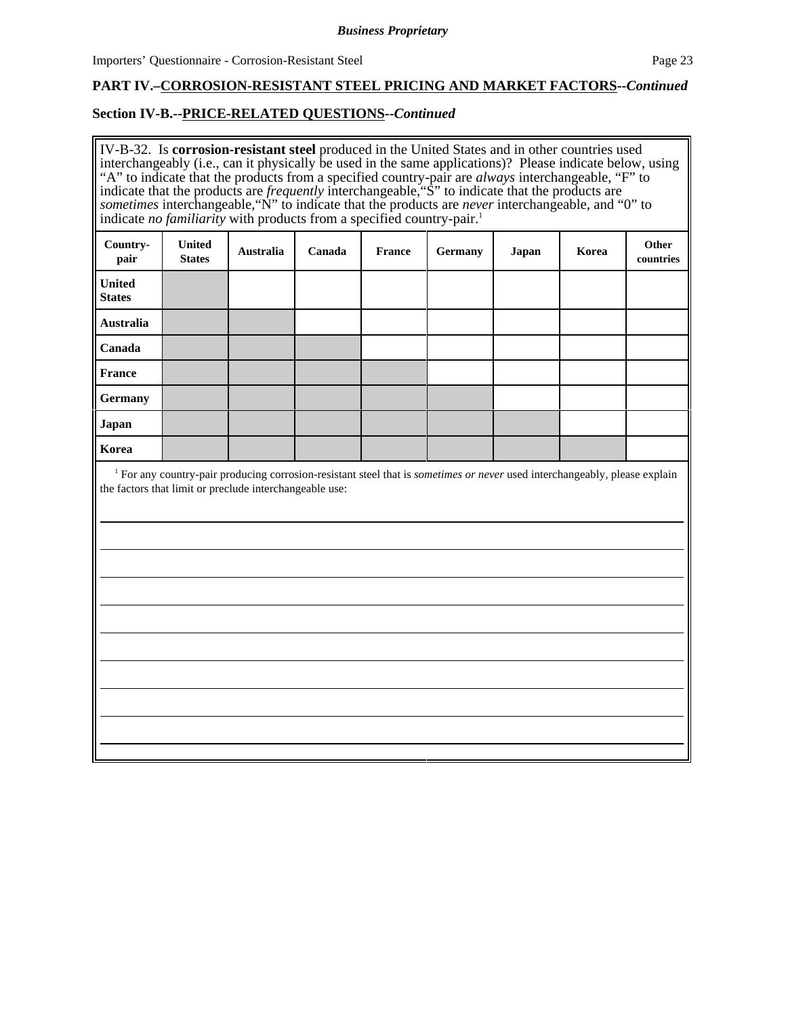# **PART IV.–CORROSION-RESISTANT STEEL PRICING AND MARKET FACTORS--***Continued*

## **Section IV-B.--PRICE-RELATED QUESTIONS--***Continued*

| IV-B-32. Is corrosion-resistant steel produced in the United States and in other countries used<br>interchangeably (i.e., can it physically be used in the same applications)? Please indicate below, using<br>"A" to indicate that the products from a specified country-pair are <i>always</i> interchangeable, "F" to<br>indicate that the products are <i>frequently</i> interchangeable, "S" to indicate that the products are<br>sometimes interchangeable, "N" to indicate that the products are <i>never</i> interchangeable, and "0" to<br>indicate no familiarity with products from a specified country-pair. <sup>1</sup> |                                |           |        |               |         |       |       |                    |  |
|---------------------------------------------------------------------------------------------------------------------------------------------------------------------------------------------------------------------------------------------------------------------------------------------------------------------------------------------------------------------------------------------------------------------------------------------------------------------------------------------------------------------------------------------------------------------------------------------------------------------------------------|--------------------------------|-----------|--------|---------------|---------|-------|-------|--------------------|--|
| Country-<br>pair                                                                                                                                                                                                                                                                                                                                                                                                                                                                                                                                                                                                                      | <b>United</b><br><b>States</b> | Australia | Canada | <b>France</b> | Germany | Japan | Korea | Other<br>countries |  |
| <b>United</b><br><b>States</b>                                                                                                                                                                                                                                                                                                                                                                                                                                                                                                                                                                                                        |                                |           |        |               |         |       |       |                    |  |
| <b>Australia</b>                                                                                                                                                                                                                                                                                                                                                                                                                                                                                                                                                                                                                      |                                |           |        |               |         |       |       |                    |  |
| Canada                                                                                                                                                                                                                                                                                                                                                                                                                                                                                                                                                                                                                                |                                |           |        |               |         |       |       |                    |  |
| <b>France</b>                                                                                                                                                                                                                                                                                                                                                                                                                                                                                                                                                                                                                         |                                |           |        |               |         |       |       |                    |  |
| <b>Germany</b>                                                                                                                                                                                                                                                                                                                                                                                                                                                                                                                                                                                                                        |                                |           |        |               |         |       |       |                    |  |
| <b>Japan</b>                                                                                                                                                                                                                                                                                                                                                                                                                                                                                                                                                                                                                          |                                |           |        |               |         |       |       |                    |  |
| Korea                                                                                                                                                                                                                                                                                                                                                                                                                                                                                                                                                                                                                                 |                                |           |        |               |         |       |       |                    |  |
| <sup>1</sup> For any country-pair producing corrosion-resistant steel that is <i>sometimes or never</i> used interchangeably, please explain<br>the factors that limit or preclude interchangeable use:                                                                                                                                                                                                                                                                                                                                                                                                                               |                                |           |        |               |         |       |       |                    |  |
|                                                                                                                                                                                                                                                                                                                                                                                                                                                                                                                                                                                                                                       |                                |           |        |               |         |       |       |                    |  |
|                                                                                                                                                                                                                                                                                                                                                                                                                                                                                                                                                                                                                                       |                                |           |        |               |         |       |       |                    |  |
|                                                                                                                                                                                                                                                                                                                                                                                                                                                                                                                                                                                                                                       |                                |           |        |               |         |       |       |                    |  |
|                                                                                                                                                                                                                                                                                                                                                                                                                                                                                                                                                                                                                                       |                                |           |        |               |         |       |       |                    |  |
|                                                                                                                                                                                                                                                                                                                                                                                                                                                                                                                                                                                                                                       |                                |           |        |               |         |       |       |                    |  |
|                                                                                                                                                                                                                                                                                                                                                                                                                                                                                                                                                                                                                                       |                                |           |        |               |         |       |       |                    |  |
|                                                                                                                                                                                                                                                                                                                                                                                                                                                                                                                                                                                                                                       |                                |           |        |               |         |       |       |                    |  |
|                                                                                                                                                                                                                                                                                                                                                                                                                                                                                                                                                                                                                                       |                                |           |        |               |         |       |       |                    |  |